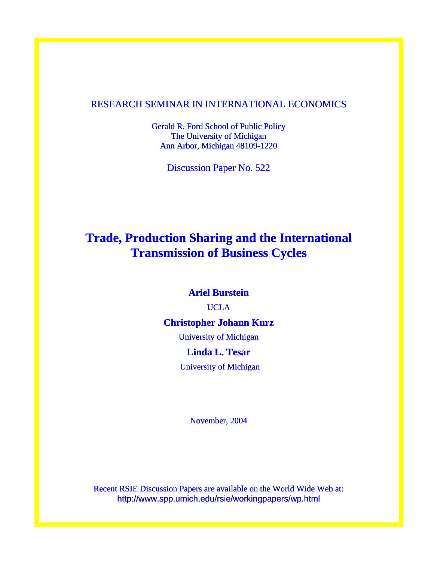## RESEARCH SEMINAR IN INTERNATIONAL ECONOMICS

Gerald R. Ford School of Public Policy The University of Michigan Ann Arbor, Michigan 48109-1220

Discussion Paper No. 522

# **Trade, Production Sharing and the International Transmission of Business Cycles**

## **Ariel Burstein**

UCLA

# **Christopher Johann Kurz**

University of Michigan

# **Linda L. Tesar**

University of Michigan

November, 2004

Recent RSIE Discussion Papers are available on the World Wide Web at: http://www.spp.umich.edu/rsie/workingpapers/wp.html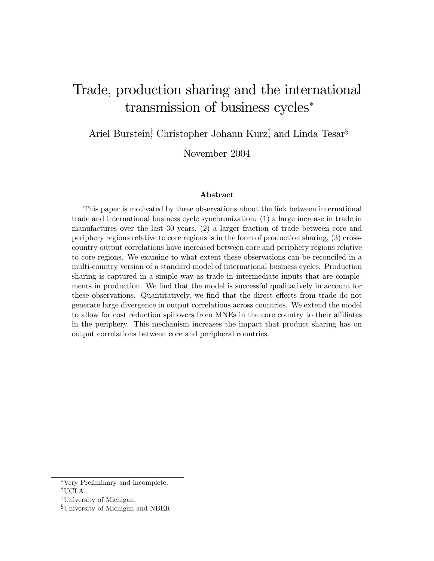# Trade, production sharing and the international transmission of business cycles<sup>∗</sup>

Ariel Burstein,<sup>†</sup> Christopher Johann Kurz<sup>†</sup>; and Linda Tesar<sup>§</sup>

November 2004

#### Abstract

This paper is motivated by three observations about the link between international trade and international business cycle synchronization: (1) a large increase in trade in manufactures over the last 30 years, (2) a larger fraction of trade between core and periphery regions relative to core regions is in the form of production sharing, (3) crosscountry output correlations have increased between core and periphery regions relative to core regions. We examine to what extent these observations can be reconciled in a multi-country version of a standard model of international business cycles. Production sharing is captured in a simple way as trade in intermediate inputs that are complements in production. We find that the model is successful qualitatively in account for these observations. Quantitatively, we find that the direct effects from trade do not generate large divergence in output correlations across countries. We extend the model to allow for cost reduction spillovers from MNEs in the core country to their affiliates in the periphery. This mechanism increases the impact that product sharing has on output correlations between core and peripheral countries.

<sup>∗</sup>Very Preliminary and incomplete.

<sup>†</sup>UCLA.

<sup>‡</sup>University of Michigan.

<sup>§</sup>University of Michigan and NBER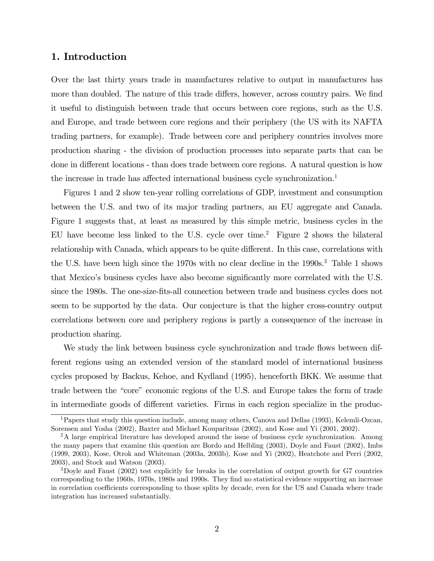## 1. Introduction

Over the last thirty years trade in manufactures relative to output in manufactures has more than doubled. The nature of this trade differs, however, across country pairs. We find it useful to distinguish between trade that occurs between core regions, such as the U.S. and Europe, and trade between core regions and their periphery (the US with its NAFTA trading partners, for example). Trade between core and periphery countries involves more production sharing - the division of production processes into separate parts that can be done in different locations - than does trade between core regions. A natural question is how the increase in trade has affected international business cycle synchronization.<sup>1</sup>

Figures 1 and 2 show ten-year rolling correlations of GDP, investment and consumption between the U.S. and two of its major trading partners, an EU aggregate and Canada. Figure 1 suggests that, at least as measured by this simple metric, business cycles in the EU have become less linked to the U.S. cycle over time.<sup>2</sup> Figure 2 shows the bilateral relationship with Canada, which appears to be quite different. In this case, correlations with the U.S. have been high since the 1970s with no clear decline in the 1990s.<sup>3</sup> Table 1 shows that Mexico's business cycles have also become significantly more correlated with the U.S. since the 1980s. The one-size-fits-all connection between trade and business cycles does not seem to be supported by the data. Our conjecture is that the higher cross-country output correlations between core and periphery regions is partly a consequence of the increase in production sharing.

We study the link between business cycle synchronization and trade flows between different regions using an extended version of the standard model of international business cycles proposed by Backus, Kehoe, and Kydland (1995), henceforth BKK. We assume that trade between the "core" economic regions of the U.S. and Europe takes the form of trade in intermediate goods of different varieties. Firms in each region specialize in the produc-

<sup>1</sup>Papers that study this question include, among many others, Canova and Dellas (1993), Kelemli-Ozcan, Sorensen and Yosha (2002), Baxter and Michael Kouparitsas (2002), and Kose and Yi (2001, 2002).

<sup>&</sup>lt;sup>2</sup>A large empirical literature has developed around the issue of business cycle synchronization. Among the many papers that examine this question are Bordo and Helbling (2003), Doyle and Faust (2002), Imbs (1999, 2003), Kose, Otrok and Whiteman (2003a, 2003b), Kose and Yi (2002), Heatchote and Perri (2002, 2003), and Stock and Watson (2003).

<sup>3</sup>Doyle and Faust (2002) test explicitly for breaks in the correlation of output growth for G7 countries corresponding to the 1960s, 1970s, 1980s and 1990s. They find no statistical evidence supporting an increase in correlation coefficients corresponding to those splits by decade, even for the US and Canada where trade integration has increased substantially.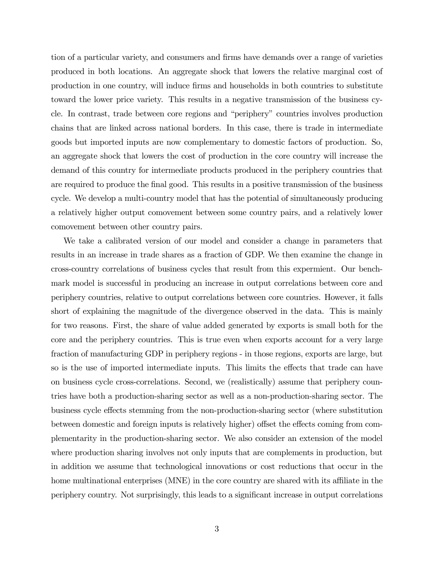tion of a particular variety, and consumers and firms have demands over a range of varieties produced in both locations. An aggregate shock that lowers the relative marginal cost of production in one country, will induce firms and households in both countries to substitute toward the lower price variety. This results in a negative transmission of the business cycle. In contrast, trade between core regions and "periphery" countries involves production chains that are linked across national borders. In this case, there is trade in intermediate goods but imported inputs are now complementary to domestic factors of production. So, an aggregate shock that lowers the cost of production in the core country will increase the demand of this country for intermediate products produced in the periphery countries that are required to produce the final good. This results in a positive transmission of the business cycle. We develop a multi-country model that has the potential of simultaneously producing a relatively higher output comovement between some country pairs, and a relatively lower comovement between other country pairs.

We take a calibrated version of our model and consider a change in parameters that results in an increase in trade shares as a fraction of GDP. We then examine the change in cross-country correlations of business cycles that result from this expermient. Our benchmark model is successful in producing an increase in output correlations between core and periphery countries, relative to output correlations between core countries. However, it falls short of explaining the magnitude of the divergence observed in the data. This is mainly for two reasons. First, the share of value added generated by exports is small both for the core and the periphery countries. This is true even when exports account for a very large fraction of manufacturing GDP in periphery regions - in those regions, exports are large, but so is the use of imported intermediate inputs. This limits the effects that trade can have on business cycle cross-correlations. Second, we (realistically) assume that periphery countries have both a production-sharing sector as well as a non-production-sharing sector. The business cycle effects stemming from the non-production-sharing sector (where substitution between domestic and foreign inputs is relatively higher) offset the effects coming from complementarity in the production-sharing sector. We also consider an extension of the model where production sharing involves not only inputs that are complements in production, but in addition we assume that technological innovations or cost reductions that occur in the home multinational enterprises (MNE) in the core country are shared with its affiliate in the periphery country. Not surprisingly, this leads to a significant increase in output correlations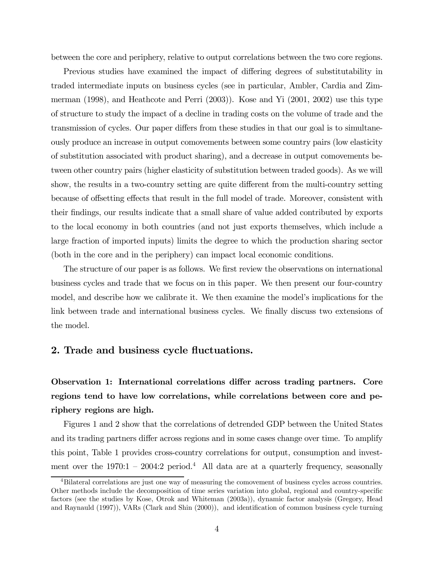between the core and periphery, relative to output correlations between the two core regions.

Previous studies have examined the impact of differing degrees of substitutability in traded intermediate inputs on business cycles (see in particular, Ambler, Cardia and Zimmerman (1998), and Heathcote and Perri (2003)). Kose and Yi (2001, 2002) use this type of structure to study the impact of a decline in trading costs on the volume of trade and the transmission of cycles. Our paper differs from these studies in that our goal is to simultaneously produce an increase in output comovements between some country pairs (low elasticity of substitution associated with product sharing), and a decrease in output comovements between other country pairs (higher elasticity of substitution between traded goods). As we will show, the results in a two-country setting are quite different from the multi-country setting because of offsetting effects that result in the full model of trade. Moreover, consistent with their findings, our results indicate that a small share of value added contributed by exports to the local economy in both countries (and not just exports themselves, which include a large fraction of imported inputs) limits the degree to which the production sharing sector (both in the core and in the periphery) can impact local economic conditions.

The structure of our paper is as follows. We first review the observations on international business cycles and trade that we focus on in this paper. We then present our four-country model, and describe how we calibrate it. We then examine the model's implications for the link between trade and international business cycles. We finally discuss two extensions of the model.

## 2. Trade and business cycle fluctuations.

Observation 1: International correlations differ across trading partners. Core regions tend to have low correlations, while correlations between core and periphery regions are high.

Figures 1 and 2 show that the correlations of detrended GDP between the United States and its trading partners differ across regions and in some cases change over time. To amplify this point, Table 1 provides cross-country correlations for output, consumption and investment over the  $1970:1 - 2004:2$  period.<sup>4</sup> All data are at a quarterly frequency, seasonally

<sup>4</sup>Bilateral correlations are just one way of measuring the comovement of business cycles across countries. Other methods include the decomposition of time series variation into global, regional and country-specific factors (see the studies by Kose, Otrok and Whiteman (2003a)), dynamic factor analysis (Gregory, Head and Raynauld (1997)), VARs (Clark and Shin (2000)), and identification of common business cycle turning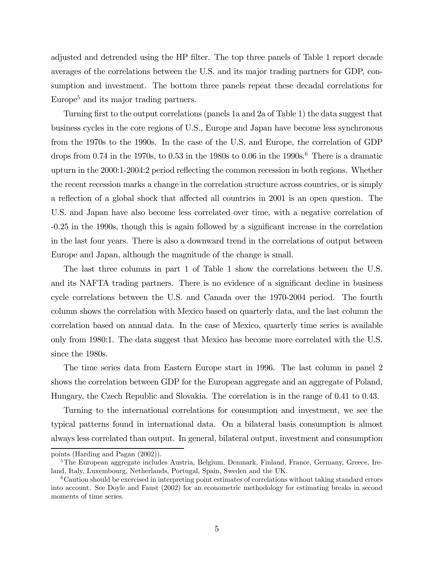adjusted and detrended using the HP filter. The top three panels of Table 1 report decade averages of the correlations between the U.S. and its major trading partners for GDP, consumption and investment. The bottom three panels repeat these decadal correlations for Europe<sup>5</sup> and its major trading partners.

Turning first to the output correlations (panels 1a and 2a of Table 1) the data suggest that business cycles in the core regions of U.S., Europe and Japan have become less synchronous from the 1970s to the 1990s. In the case of the U.S. and Europe, the correlation of GDP drops from 0.74 in the 1970s, to 0.53 in the 1980s to 0.06 in the 1990s.<sup>6</sup> There is a dramatic upturn in the 2000:1-2004:2 period reflecting the common recession in both regions. Whether the recent recession marks a change in the correlation structure across countries, or is simply a reflection of a global shock that affected all countries in 2001 is an open question. The U.S. and Japan have also become less correlated over time, with a negative correlation of -0.25 in the 1990s, though this is again followed by a significant increase in the correlation in the last four years. There is also a downward trend in the correlations of output between Europe and Japan, although the magnitude of the change is small.

The last three columns in part 1 of Table 1 show the correlations between the U.S. and its NAFTA trading partners. There is no evidence of a significant decline in business cycle correlations between the U.S. and Canada over the 1970-2004 period. The fourth column shows the correlation with Mexico based on quarterly data, and the last column the correlation based on annual data. In the case of Mexico, quarterly time series is available only from 1980:1. The data suggest that Mexico has become more correlated with the U.S. since the 1980s.

The time series data from Eastern Europe start in 1996. The last column in panel 2 shows the correlation between GDP for the European aggregate and an aggregate of Poland, Hungary, the Czech Republic and Slovakia. The correlation is in the range of 0.41 to 0.43.

Turning to the international correlations for consumption and investment, we see the typical patterns found in international data. On a bilateral basis consumption is almost always less correlated than output. In general, bilateral output, investment and consumption

points (Harding and Pagan (2002)).

<sup>5</sup>The European aggregate includes Austria, Belgium, Denmark, Finland, France, Germany, Greece, Ireland, Italy, Luxembourg, Netherlands, Portugal, Spain, Sweden and the UK.

<sup>6</sup>Caution should be exercised in interpreting point estimates of correlations without taking standard errors into account. See Doyle and Faust (2002) for an econometric methodology for estimating breaks in second moments of time series.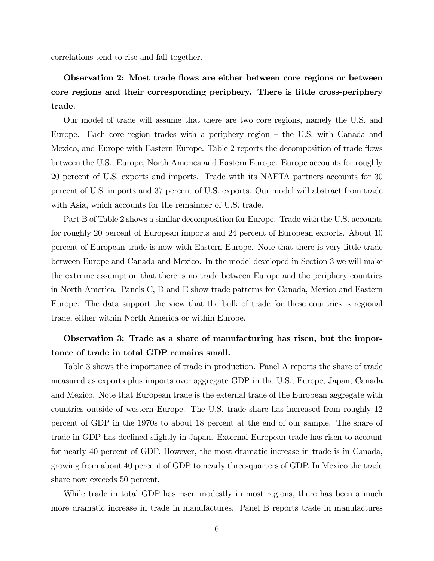correlations tend to rise and fall together.

# Observation 2: Most trade flows are either between core regions or between core regions and their corresponding periphery. There is little cross-periphery trade.

Our model of trade will assume that there are two core regions, namely the U.S. and Europe. Each core region trades with a periphery region — the U.S. with Canada and Mexico, and Europe with Eastern Europe. Table 2 reports the decomposition of trade flows between the U.S., Europe, North America and Eastern Europe. Europe accounts for roughly 20 percent of U.S. exports and imports. Trade with its NAFTA partners accounts for 30 percent of U.S. imports and 37 percent of U.S. exports. Our model will abstract from trade with Asia, which accounts for the remainder of U.S. trade.

Part B of Table 2 shows a similar decomposition for Europe. Trade with the U.S. accounts for roughly 20 percent of European imports and 24 percent of European exports. About 10 percent of European trade is now with Eastern Europe. Note that there is very little trade between Europe and Canada and Mexico. In the model developed in Section 3 we will make the extreme assumption that there is no trade between Europe and the periphery countries in North America. Panels C, D and E show trade patterns for Canada, Mexico and Eastern Europe. The data support the view that the bulk of trade for these countries is regional trade, either within North America or within Europe.

# Observation 3: Trade as a share of manufacturing has risen, but the importance of trade in total GDP remains small.

Table 3 shows the importance of trade in production. Panel A reports the share of trade measured as exports plus imports over aggregate GDP in the U.S., Europe, Japan, Canada and Mexico. Note that European trade is the external trade of the European aggregate with countries outside of western Europe. The U.S. trade share has increased from roughly 12 percent of GDP in the 1970s to about 18 percent at the end of our sample. The share of trade in GDP has declined slightly in Japan. External European trade has risen to account for nearly 40 percent of GDP. However, the most dramatic increase in trade is in Canada, growing from about 40 percent of GDP to nearly three-quarters of GDP. In Mexico the trade share now exceeds 50 percent.

While trade in total GDP has risen modestly in most regions, there has been a much more dramatic increase in trade in manufactures. Panel B reports trade in manufactures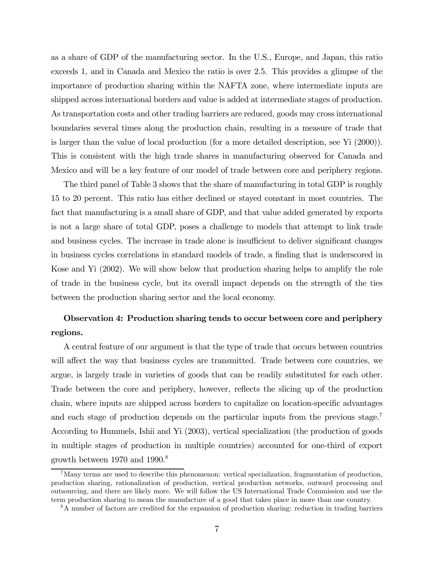as a share of GDP of the manufacturing sector. In the U.S., Europe, and Japan, this ratio exceeds 1, and in Canada and Mexico the ratio is over 2.5. This provides a glimpse of the importance of production sharing within the NAFTA zone, where intermediate inputs are shipped across international borders and value is added at intermediate stages of production. As transportation costs and other trading barriers are reduced, goods may cross international boundaries several times along the production chain, resulting in a measure of trade that is larger than the value of local production (for a more detailed description, see Yi (2000)). This is consistent with the high trade shares in manufacturing observed for Canada and Mexico and will be a key feature of our model of trade between core and periphery regions.

The third panel of Table 3 shows that the share of manufacturing in total GDP is roughly 15 to 20 percent. This ratio has either declined or stayed constant in most countries. The fact that manufacturing is a small share of GDP, and that value added generated by exports is not a large share of total GDP, poses a challenge to models that attempt to link trade and business cycles. The increase in trade alone is insufficient to deliver significant changes in business cycles correlations in standard models of trade, a finding that is underscored in Kose and Yi (2002). We will show below that production sharing helps to amplify the role of trade in the business cycle, but its overall impact depends on the strength of the ties between the production sharing sector and the local economy.

# Observation 4: Production sharing tends to occur between core and periphery regions.

A central feature of our argument is that the type of trade that occurs between countries will affect the way that business cycles are transmitted. Trade between core countries, we argue, is largely trade in varieties of goods that can be readily substituted for each other. Trade between the core and periphery, however, reflects the slicing up of the production chain, where inputs are shipped across borders to capitalize on location-specific advantages and each stage of production depends on the particular inputs from the previous stage.<sup>7</sup> According to Hummels, Ishii and Yi (2003), vertical specialization (the production of goods in multiple stages of production in multiple countries) accounted for one-third of export growth between 1970 and 1990.8

<sup>7</sup>Many terms are used to describe this phenomenon: vertical specialization, fragmentation of production, production sharing, rationalization of production, vertical production networks, outward processing and outsourcing, and there are likely more. We will follow the US International Trade Commission and use the term production sharing to mean the manufacture of a good that takes place in more than one country.

<sup>8</sup>A number of factors are credited for the expansion of production sharing: reduction in trading barriers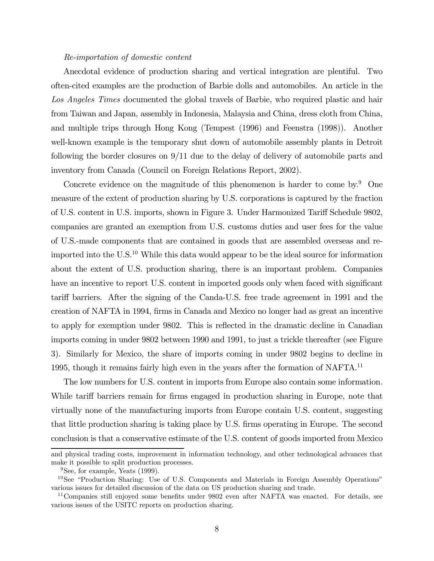#### Re-importation of domestic content

Anecdotal evidence of production sharing and vertical integration are plentiful. Two often-cited examples are the production of Barbie dolls and automobiles. An article in the Los Angeles Times documented the global travels of Barbie, who required plastic and hair from Taiwan and Japan, assembly in Indonesia, Malaysia and China, dress cloth from China, and multiple trips through Hong Kong (Tempest (1996) and Feenstra (1998)). Another well-known example is the temporary shut down of automobile assembly plants in Detroit following the border closures on 9/11 due to the delay of delivery of automobile parts and inventory from Canada (Council on Foreign Relations Report, 2002).

Concrete evidence on the magnitude of this phenomenon is harder to come by.<sup>9</sup> One measure of the extent of production sharing by U.S. corporations is captured by the fraction of U.S. content in U.S. imports, shown in Figure 3. Under Harmonized Tariff Schedule 9802, companies are granted an exemption from U.S. customs duties and user fees for the value of U.S.-made components that are contained in goods that are assembled overseas and reimported into the U.S.<sup>10</sup> While this data would appear to be the ideal source for information about the extent of U.S. production sharing, there is an important problem. Companies have an incentive to report U.S. content in imported goods only when faced with significant tariff barriers. After the signing of the Canda-U.S. free trade agreement in 1991 and the creation of NAFTA in 1994, firms in Canada and Mexico no longer had as great an incentive to apply for exemption under 9802. This is reflected in the dramatic decline in Canadian imports coming in under 9802 between 1990 and 1991, to just a trickle thereafter (see Figure 3). Similarly for Mexico, the share of imports coming in under 9802 begins to decline in 1995, though it remains fairly high even in the years after the formation of NAFTA.11

The low numbers for U.S. content in imports from Europe also contain some information. While tariff barriers remain for firms engaged in production sharing in Europe, note that virtually none of the manufacturing imports from Europe contain U.S. content, suggesting that little production sharing is taking place by U.S. firms operating in Europe. The second conclusion is that a conservative estimate of the U.S. content of goods imported from Mexico

and physical trading costs, improvement in information technology, and other technological advances that make it possible to split production processes.

 $9$ See, for example, Yeats (1999).

<sup>&</sup>lt;sup>10</sup>See "Production Sharing: Use of U.S. Components and Materials in Foreign Assembly Operations" various issues for detailed discussion of the data on US production sharing and trade.

<sup>&</sup>lt;sup>11</sup>Companies still enjoyed some benefits under 9802 even after NAFTA was enacted. For details, see various issues of the USITC reports on production sharing.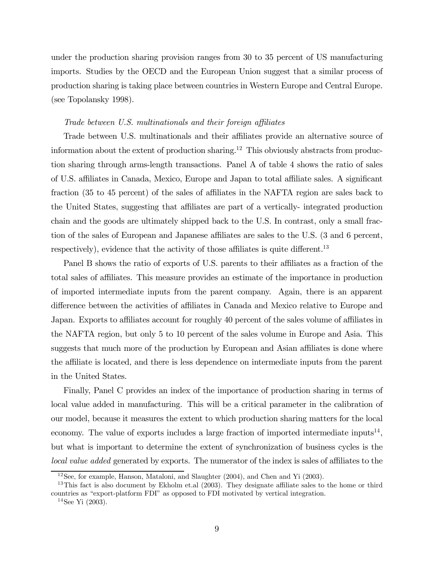under the production sharing provision ranges from 30 to 35 percent of US manufacturing imports. Studies by the OECD and the European Union suggest that a similar process of production sharing is taking place between countries in Western Europe and Central Europe. (see Topolansky 1998).

#### Trade between U.S. multinationals and their foreign affiliates

Trade between U.S. multinationals and their affiliates provide an alternative source of information about the extent of production sharing.<sup>12</sup> This obviously abstracts from production sharing through arms-length transactions. Panel A of table 4 shows the ratio of sales of U.S. affiliates in Canada, Mexico, Europe and Japan to total affiliate sales. A significant fraction (35 to 45 percent) of the sales of affiliates in the NAFTA region are sales back to the United States, suggesting that affiliates are part of a vertically- integrated production chain and the goods are ultimately shipped back to the U.S. In contrast, only a small fraction of the sales of European and Japanese affiliates are sales to the U.S. (3 and 6 percent, respectively), evidence that the activity of those affiliates is quite different.<sup>13</sup>

Panel B shows the ratio of exports of U.S. parents to their affiliates as a fraction of the total sales of affiliates. This measure provides an estimate of the importance in production of imported intermediate inputs from the parent company. Again, there is an apparent difference between the activities of affiliates in Canada and Mexico relative to Europe and Japan. Exports to affiliates account for roughly 40 percent of the sales volume of affiliates in the NAFTA region, but only 5 to 10 percent of the sales volume in Europe and Asia. This suggests that much more of the production by European and Asian affiliates is done where the affiliate is located, and there is less dependence on intermediate inputs from the parent in the United States.

Finally, Panel C provides an index of the importance of production sharing in terms of local value added in manufacturing. This will be a critical parameter in the calibration of our model, because it measures the extent to which production sharing matters for the local economy. The value of exports includes a large fraction of imported intermediate inputs<sup>14</sup>, but what is important to determine the extent of synchronization of business cycles is the local value added generated by exports. The numerator of the index is sales of affiliates to the

<sup>12</sup>See, for example, Hanson, Mataloni, and Slaughter (2004), and Chen and Yi (2003).

<sup>&</sup>lt;sup>13</sup>This fact is also document by Ekholm et.al (2003). They designate affiliate sales to the home or third countries as "export-platform FDI" as opposed to FDI motivated by vertical integration.

 $14$ See Yi (2003).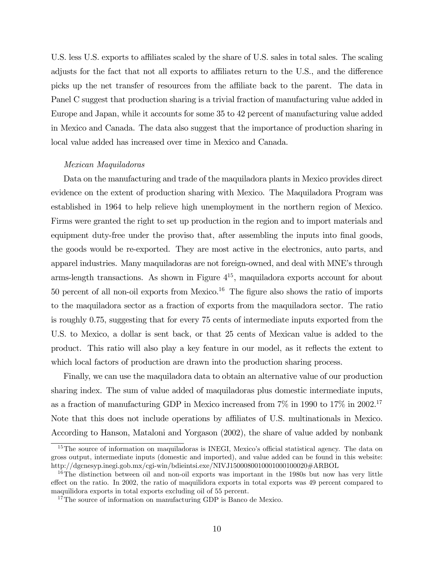U.S. less U.S. exports to affiliates scaled by the share of U.S. sales in total sales. The scaling adjusts for the fact that not all exports to affiliates return to the U.S., and the difference picks up the net transfer of resources from the affiliate back to the parent. The data in Panel C suggest that production sharing is a trivial fraction of manufacturing value added in Europe and Japan, while it accounts for some 35 to 42 percent of manufacturing value added in Mexico and Canada. The data also suggest that the importance of production sharing in local value added has increased over time in Mexico and Canada.

#### Mexican Maquiladoras

Data on the manufacturing and trade of the maquiladora plants in Mexico provides direct evidence on the extent of production sharing with Mexico. The Maquiladora Program was established in 1964 to help relieve high unemployment in the northern region of Mexico. Firms were granted the right to set up production in the region and to import materials and equipment duty-free under the proviso that, after assembling the inputs into final goods, the goods would be re-exported. They are most active in the electronics, auto parts, and apparel industries. Many maquiladoras are not foreign-owned, and deal with MNE's through arms-length transactions. As shown in Figure  $4^{15}$ , maquiladora exports account for about 50 percent of all non-oil exports from Mexico.16 The figure also shows the ratio of imports to the maquiladora sector as a fraction of exports from the maquiladora sector. The ratio is roughly 0.75, suggesting that for every 75 cents of intermediate inputs exported from the U.S. to Mexico, a dollar is sent back, or that 25 cents of Mexican value is added to the product. This ratio will also play a key feature in our model, as it reflects the extent to which local factors of production are drawn into the production sharing process.

Finally, we can use the maquiladora data to obtain an alternative value of our production sharing index. The sum of value added of maquiladoras plus domestic intermediate inputs, as a fraction of manufacturing GDP in Mexico increased from 7% in 1990 to 17% in 2002. 17 Note that this does not include operations by affiliates of U.S. multinationals in Mexico. According to Hanson, Mataloni and Yorgason (2002), the share of value added by nonbank

<sup>&</sup>lt;sup>15</sup>The source of information on maquiladoras is INEGI, Mexico's official statistical agency. The data on gross output, intermediate inputs (domestic and imported), and value added can be found in this website: http://dgcnesyp.inegi.gob.mx/cgi-win/bdieintsi.exe/NIVJ1500080010001000100020#ARBOL

<sup>&</sup>lt;sup>16</sup>The distinction between oil and non-oil exports was important in the 1980s but now has very little effect on the ratio. In 2002, the ratio of maquilidora exports in total exports was 49 percent compared to maquilidora exports in total exports excluding oil of 55 percent.

 $^{17}$  The source of information on manufacturing GDP is Banco de Mexico.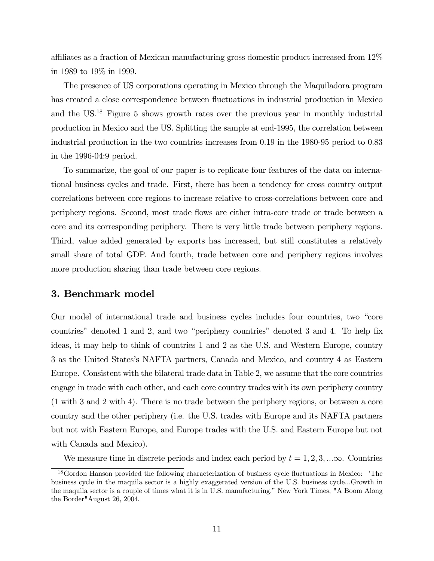affiliates as a fraction of Mexican manufacturing gross domestic product increased from 12% in 1989 to 19% in 1999.

The presence of US corporations operating in Mexico through the Maquiladora program has created a close correspondence between fluctuations in industrial production in Mexico and the US.18 Figure 5 shows growth rates over the previous year in monthly industrial production in Mexico and the US. Splitting the sample at end-1995, the correlation between industrial production in the two countries increases from 0.19 in the 1980-95 period to 0.83 in the 1996-04:9 period.

To summarize, the goal of our paper is to replicate four features of the data on international business cycles and trade. First, there has been a tendency for cross country output correlations between core regions to increase relative to cross-correlations between core and periphery regions. Second, most trade flows are either intra-core trade or trade between a core and its corresponding periphery. There is very little trade between periphery regions. Third, value added generated by exports has increased, but still constitutes a relatively small share of total GDP. And fourth, trade between core and periphery regions involves more production sharing than trade between core regions.

## 3. Benchmark model

Our model of international trade and business cycles includes four countries, two "core countries" denoted 1 and 2, and two "periphery countries" denoted 3 and 4. To help fix ideas, it may help to think of countries 1 and 2 as the U.S. and Western Europe, country 3 as the United States's NAFTA partners, Canada and Mexico, and country 4 as Eastern Europe. Consistent with the bilateral trade data in Table 2, we assume that the core countries engage in trade with each other, and each core country trades with its own periphery country (1 with 3 and 2 with 4). There is no trade between the periphery regions, or between a core country and the other periphery (i.e. the U.S. trades with Europe and its NAFTA partners but not with Eastern Europe, and Europe trades with the U.S. and Eastern Europe but not with Canada and Mexico).

We measure time in discrete periods and index each period by  $t = 1, 2, 3, ... \infty$ . Countries

<sup>18</sup>Gordon Hanson provided the following characterization of business cycle fluctuations in Mexico: 'The business cycle in the maquila sector is a highly exaggerated version of the U.S. business cycle...Growth in the maquila sector is a couple of times what it is in U.S. manufacturing." New York Times, "A Boom Along the Border"August 26, 2004.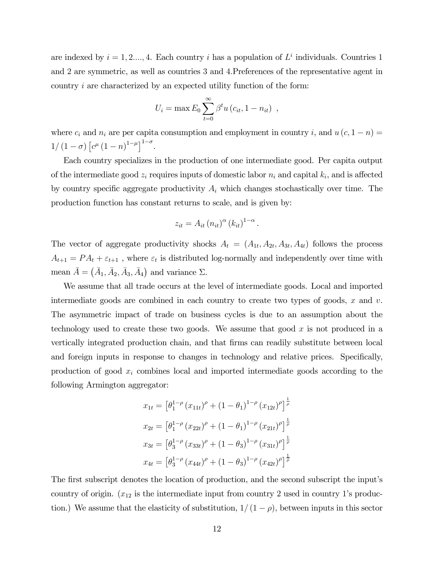are indexed by  $i = 1, 2, ..., 4$ . Each country i has a population of  $L<sup>i</sup>$  individuals. Countries 1 and 2 are symmetric, as well as countries 3 and 4.Preferences of the representative agent in country i are characterized by an expected utility function of the form:

$$
U_i = \max E_0 \sum_{t=0}^{\infty} \beta^t u (c_{it}, 1 - n_{it}) ,
$$

where  $c_i$  and  $n_i$  are per capita consumption and employment in country i, and  $u(c, 1 - n) =$  $1/(1-\sigma)\left[c^{\mu}(1-n)^{1-\mu}\right]^{1-\sigma}.$ 

Each country specializes in the production of one intermediate good. Per capita output of the intermediate good  $z_i$  requires inputs of domestic labor  $n_i$  and capital  $k_i$ , and is affected by country specific aggregate productivity  $A_i$  which changes stochastically over time. The production function has constant returns to scale, and is given by:

$$
z_{it} = A_{it} (n_{it})^{\alpha} (k_{it})^{1-\alpha}.
$$

The vector of aggregate productivity shocks  $A_t = (A_{1t}, A_{2t}, A_{3t}, A_{4t})$  follows the process  $A_{t+1} = PA_t + \varepsilon_{t+1}$ , where  $\varepsilon_t$  is distributed log-normally and independently over time with mean  $\bar{A} = (\bar{A}_1, \bar{A}_2, \bar{A}_3, \bar{A}_4)$  and variance  $\Sigma$ .

We assume that all trade occurs at the level of intermediate goods. Local and imported intermediate goods are combined in each country to create two types of goods,  $x$  and  $v$ . The asymmetric impact of trade on business cycles is due to an assumption about the technology used to create these two goods. We assume that good  $x$  is not produced in a vertically integrated production chain, and that firms can readily substitute between local and foreign inputs in response to changes in technology and relative prices. Specifically, production of good  $x_i$  combines local and imported intermediate goods according to the following Armington aggregator:

$$
x_{1t} = \left[\theta_1^{1-\rho} (x_{11t})^{\rho} + (1 - \theta_1)^{1-\rho} (x_{12t})^{\rho}\right]^{\frac{1}{\rho}}
$$
  
\n
$$
x_{2t} = \left[\theta_1^{1-\rho} (x_{22t})^{\rho} + (1 - \theta_1)^{1-\rho} (x_{21t})^{\rho}\right]^{\frac{1}{\rho}}
$$
  
\n
$$
x_{3t} = \left[\theta_3^{1-\rho} (x_{33t})^{\rho} + (1 - \theta_3)^{1-\rho} (x_{31t})^{\rho}\right]^{\frac{1}{\rho}}
$$
  
\n
$$
x_{4t} = \left[\theta_3^{1-\rho} (x_{44t})^{\rho} + (1 - \theta_3)^{1-\rho} (x_{42t})^{\rho}\right]^{\frac{1}{\rho}}
$$

The first subscript denotes the location of production, and the second subscript the input's country of origin.  $(x_{12}$  is the intermediate input from country 2 used in country 1's production.) We assume that the elasticity of substitution,  $1/(1 - \rho)$ , between inputs in this sector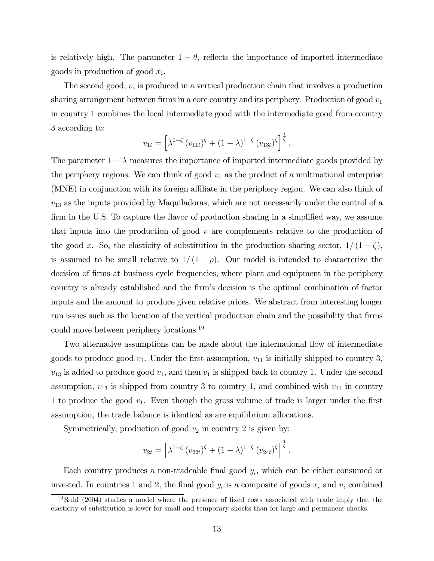is relatively high. The parameter  $1 - \theta_i$  reflects the importance of imported intermediate goods in production of good  $x_i$ .

The second good,  $v$ , is produced in a vertical production chain that involves a production sharing arrangement between firms in a core country and its periphery. Production of good  $v_1$ in country 1 combines the local intermediate good with the intermediate good from country 3 according to:

$$
v_{1t} = \left[ \lambda^{1-\zeta} (v_{11t})^{\zeta} + (1-\lambda)^{1-\zeta} (v_{13t})^{\zeta} \right]^{\frac{1}{\zeta}}.
$$

The parameter  $1 - \lambda$  measures the importance of imported intermediate goods provided by the periphery regions. We can think of good  $v_1$  as the product of a multinational enterprise (MNE) in conjunction with its foreign affiliate in the periphery region. We can also think of  $v_{13}$  as the inputs provided by Maquiladoras, which are not necessarily under the control of a firm in the U.S. To capture the flavor of production sharing in a simplified way, we assume that inputs into the production of good  $v$  are complements relative to the production of the good x. So, the elasticity of substitution in the production sharing sector,  $1/(1-\zeta)$ , is assumed to be small relative to  $1/(1-\rho)$ . Our model is intended to characterize the decision of firms at business cycle frequencies, where plant and equipment in the periphery country is already established and the firm's decision is the optimal combination of factor inputs and the amount to produce given relative prices. We abstract from interesting longer run issues such as the location of the vertical production chain and the possibility that firms could move between periphery locations.19

Two alternative assumptions can be made about the international flow of intermediate goods to produce good  $v_1$ . Under the first assumption,  $v_{11}$  is initially shipped to country 3,  $v_{13}$  is added to produce good  $v_1$ , and then  $v_1$  is shipped back to country 1. Under the second assumption,  $v_{13}$  is shipped from country 3 to country 1, and combined with  $v_{11}$  in country 1 to produce the good  $v_1$ . Even though the gross volume of trade is larger under the first assumption, the trade balance is identical as are equilibrium allocations.

Symmetrically, production of good  $v_2$  in country 2 is given by:

$$
v_{2t} = \left[ \lambda^{1-\zeta} (v_{22t})^{\zeta} + (1-\lambda)^{1-\zeta} (v_{24t})^{\zeta} \right]^{\frac{1}{\zeta}}.
$$

Each country produces a non-tradeable final good  $y_i$ , which can be either consumed or invested. In countries 1 and 2, the final good  $y_i$  is a composite of goods  $x_i$  and v, combined

 $19 \text{Ruhl}$  (2004) studies a model where the presence of fixed costs associated with trade imply that the elasticity of substitution is lower for small and temporary shocks than for large and permanent shocks.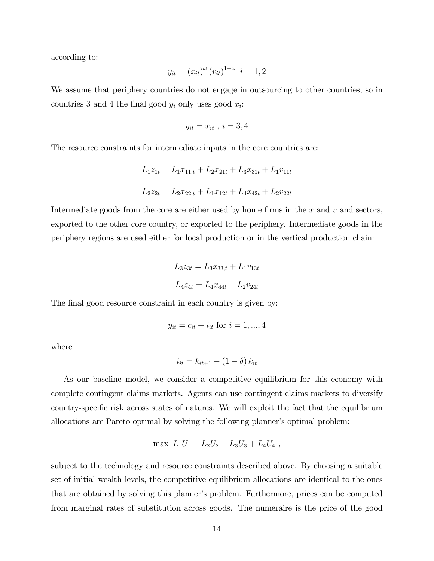according to:

$$
y_{it} = (x_{it})^{\omega} (v_{it})^{1-\omega} \quad i = 1, 2
$$

We assume that periphery countries do not engage in outsourcing to other countries, so in countries 3 and 4 the final good  $y_i$  only uses good  $x_i$ :

$$
y_{it}=x_{it} , i=3,4
$$

The resource constraints for intermediate inputs in the core countries are:

$$
L_1 z_{1t} = L_1 x_{11,t} + L_2 x_{21t} + L_3 x_{31t} + L_1 v_{11t}
$$
  

$$
L_2 z_{2t} = L_2 x_{22,t} + L_1 x_{12t} + L_4 x_{42t} + L_2 v_{22t}
$$

Intermediate goods from the core are either used by home firms in the  $x$  and  $v$  and sectors, exported to the other core country, or exported to the periphery. Intermediate goods in the periphery regions are used either for local production or in the vertical production chain:

$$
L_3 z_{3t} = L_3 x_{33,t} + L_1 v_{13t}
$$
  

$$
L_4 z_{4t} = L_4 x_{44t} + L_2 v_{24t}
$$

The final good resource constraint in each country is given by:

$$
y_{it} = c_{it} + i_{it}
$$
 for  $i = 1, ..., 4$ 

where

$$
i_{it} = k_{it+1} - (1 - \delta) k_{it}
$$

As our baseline model, we consider a competitive equilibrium for this economy with complete contingent claims markets. Agents can use contingent claims markets to diversify country-specific risk across states of natures. We will exploit the fact that the equilibrium allocations are Pareto optimal by solving the following planner's optimal problem:

$$
\max L_1U_1 + L_2U_2 + L_3U_3 + L_4U_4,
$$

subject to the technology and resource constraints described above. By choosing a suitable set of initial wealth levels, the competitive equilibrium allocations are identical to the ones that are obtained by solving this planner's problem. Furthermore, prices can be computed from marginal rates of substitution across goods. The numeraire is the price of the good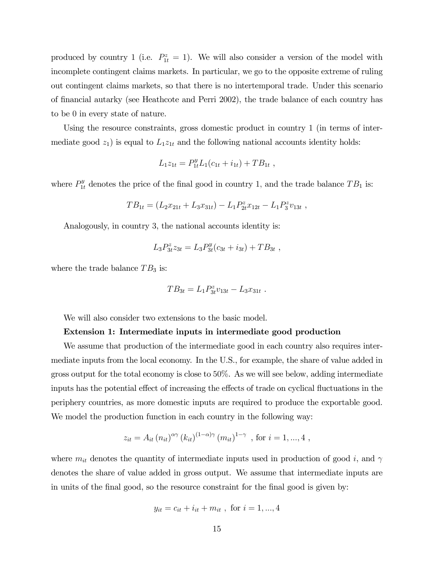produced by country 1 (i.e.  $P_{1t}^z = 1$ ). We will also consider a version of the model with incomplete contingent claims markets. In particular, we go to the opposite extreme of ruling out contingent claims markets, so that there is no intertemporal trade. Under this scenario of financial autarky (see Heathcote and Perri 2002), the trade balance of each country has to be 0 in every state of nature.

Using the resource constraints, gross domestic product in country 1 (in terms of intermediate good  $z_1$ ) is equal to  $L_1z_{1t}$  and the following national accounts identity holds:

$$
L_1 z_{1t} = P_{1t}^y L_1 (c_{1t} + i_{1t}) + T B_{1t} ,
$$

where  $P_{1t}^y$  denotes the price of the final good in country 1, and the trade balance  $TB_1$  is:

$$
TB_{1t} = (L_2x_{21t} + L_3x_{31t}) - L_1P_{2t}^zx_{12t} - L_1P_3^zy_{13t} ,
$$

Analogously, in country 3, the national accounts identity is:

$$
L_3 P_{3t}^z z_{3t} = L_3 P_{3t}^y (c_{3t} + i_{3t}) + T B_{3t} ,
$$

where the trade balance  $TB_3$  is:

$$
TB_{3t} = L_1 P_{3t}^z v_{13t} - L_3 x_{31t} .
$$

We will also consider two extensions to the basic model.

#### Extension 1: Intermediate inputs in intermediate good production

We assume that production of the intermediate good in each country also requires intermediate inputs from the local economy. In the U.S., for example, the share of value added in gross output for the total economy is close to 50%. As we will see below, adding intermediate inputs has the potential effect of increasing the effects of trade on cyclical fluctuations in the periphery countries, as more domestic inputs are required to produce the exportable good. We model the production function in each country in the following way:

$$
z_{it} = A_{it} (n_{it})^{\alpha \gamma} (k_{it})^{(1-\alpha)\gamma} (m_{it})^{1-\gamma}
$$
, for  $i = 1, ..., 4$ ,

where  $m_{it}$  denotes the quantity of intermediate inputs used in production of good i, and  $\gamma$ denotes the share of value added in gross output. We assume that intermediate inputs are in units of the final good, so the resource constraint for the final good is given by:

$$
y_{it} = c_{it} + i_{it} + m_{it}
$$
, for  $i = 1, ..., 4$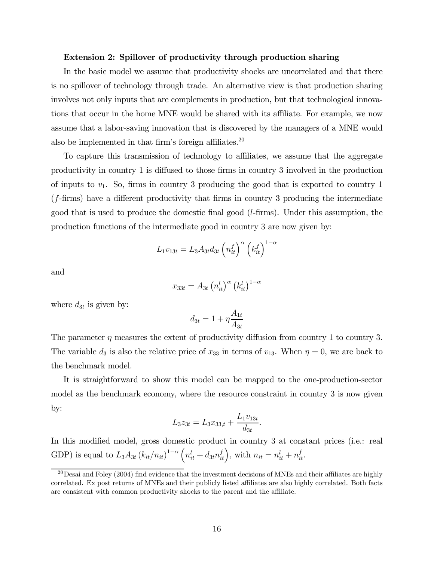#### Extension 2: Spillover of productivity through production sharing

In the basic model we assume that productivity shocks are uncorrelated and that there is no spillover of technology through trade. An alternative view is that production sharing involves not only inputs that are complements in production, but that technological innovations that occur in the home MNE would be shared with its affiliate. For example, we now assume that a labor-saving innovation that is discovered by the managers of a MNE would also be implemented in that firm's foreign affiliates. $20$ 

To capture this transmission of technology to affiliates, we assume that the aggregate productivity in country 1 is diffused to those firms in country 3 involved in the production of inputs to  $v_1$ . So, firms in country 3 producing the good that is exported to country 1 (f-firms) have a different productivity that firms in country 3 producing the intermediate good that is used to produce the domestic final good  $(l\text{-} firms)$ . Under this assumption, the production functions of the intermediate good in country 3 are now given by:

$$
L_1v_{13t} = L_3A_{3t}d_{3t} \left(n_{it}^f\right)^{\alpha} \left(k_{it}^f\right)^{1-\alpha}
$$

and

$$
x_{33t} = A_{3t} (n_{it}^l)^\alpha (k_{it}^l)^{1-\alpha}
$$

where  $d_{3t}$  is given by:

$$
d_{3t} = 1 + \eta \frac{A_{1t}}{A_{3t}}
$$

The parameter  $\eta$  measures the extent of productivity diffusion from country 1 to country 3. The variable  $d_3$  is also the relative price of  $x_{33}$  in terms of  $v_{13}$ . When  $\eta = 0$ , we are back to the benchmark model.

It is straightforward to show this model can be mapped to the one-production-sector model as the benchmark economy, where the resource constraint in country 3 is now given by:

$$
L_3 z_{3t} = L_3 x_{33,t} + \frac{L_1 v_{13t}}{d_{3t}}.
$$

In this modified model, gross domestic product in country 3 at constant prices (i.e.: real GDP) is equal to  $L_3 A_{3t} (k_{it}/n_{it})^{1-\alpha} (n_{it}^l + d_{3t} n_{it}^f),$  with  $n_{it} = n_{it}^l + n_{it}^f$ .

 $^{20}$ Desai and Foley (2004) find evidence that the investment decisions of MNEs and their affiliates are highly correlated. Ex post returns of MNEs and their publicly listed affiliates are also highly correlated. Both facts are consistent with common productivity shocks to the parent and the affiliate.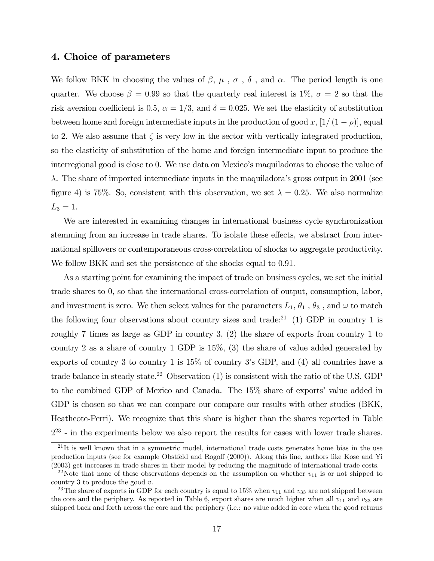## 4. Choice of parameters

We follow BKK in choosing the values of  $\beta$ ,  $\mu$ ,  $\sigma$ ,  $\delta$ , and  $\alpha$ . The period length is one quarter. We choose  $\beta = 0.99$  so that the quarterly real interest is  $1\%$ ,  $\sigma = 2$  so that the risk aversion coefficient is 0.5,  $\alpha = 1/3$ , and  $\delta = 0.025$ . We set the elasticity of substitution between home and foreign intermediate inputs in the production of good x,  $[1/(1-\rho)]$ , equal to 2. We also assume that  $\zeta$  is very low in the sector with vertically integrated production, so the elasticity of substitution of the home and foreign intermediate input to produce the interregional good is close to 0. We use data on Mexico's maquiladoras to choose the value of  $\lambda$ . The share of imported intermediate inputs in the maquiladora's gross output in 2001 (see figure 4) is 75%. So, consistent with this observation, we set  $\lambda = 0.25$ . We also normalize  $L_3 = 1.$ 

We are interested in examining changes in international business cycle synchronization stemming from an increase in trade shares. To isolate these effects, we abstract from international spillovers or contemporaneous cross-correlation of shocks to aggregate productivity. We follow BKK and set the persistence of the shocks equal to 0.91.

As a starting point for examining the impact of trade on business cycles, we set the initial trade shares to 0, so that the international cross-correlation of output, consumption, labor, and investment is zero. We then select values for the parameters  $L_1, \theta_1$  ,  $\theta_3$  , and  $\omega$  to match the following four observations about country sizes and trade:<sup>21</sup> (1) GDP in country 1 is roughly 7 times as large as GDP in country 3, (2) the share of exports from country 1 to country 2 as a share of country 1 GDP is 15%, (3) the share of value added generated by exports of country 3 to country 1 is 15% of country 3's GDP, and (4) all countries have a trade balance in steady state.<sup>22</sup> Observation  $(1)$  is consistent with the ratio of the U.S. GDP to the combined GDP of Mexico and Canada. The 15% share of exports' value added in GDP is chosen so that we can compare our compare our results with other studies (BKK, Heathcote-Perri). We recognize that this share is higher than the shares reported in Table  $2^{23}$  - in the experiments below we also report the results for cases with lower trade shares.

 $^{21}$ It is well known that in a symmetric model, international trade costs generates home bias in the use production inputs (see for example Obstfeld and Rogoff (2000)). Along this line, authors like Kose and Yi (2003) get increases in trade shares in their model by reducing the magnitude of international trade costs.

<sup>&</sup>lt;sup>22</sup>Note that none of these observations depends on the assumption on whether  $v_{11}$  is or not shipped to country 3 to produce the good  $v$ .

<sup>&</sup>lt;sup>23</sup>The share of exports in GDP for each country is equal to 15% when  $v_{11}$  and  $v_{33}$  are not shipped between the core and the periphery. As reported in Table 6, export shares are much higher when all  $v_{11}$  and  $v_{33}$  are shipped back and forth across the core and the periphery (i.e.: no value added in core when the good returns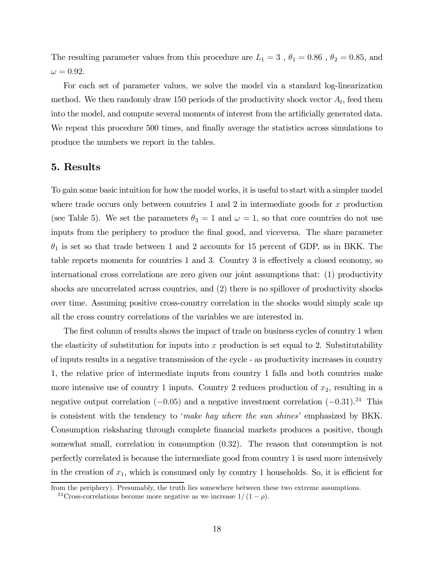The resulting parameter values from this procedure are  $L_1 = 3$  ,  $\theta_1 = 0.86$  ,  $\theta_2 = 0.85$ , and  $\omega = 0.92.$ 

For each set of parameter values, we solve the model via a standard log-linearization method. We then randomly draw 150 periods of the productivity shock vector  $A_t$ , feed them into the model, and compute several moments of interest from the artificially generated data. We repeat this procedure 500 times, and finally average the statistics across simulations to produce the numbers we report in the tables.

## 5. Results

To gain some basic intuition for how the model works, it is useful to start with a simpler model where trade occurs only between countries  $1$  and  $2$  in intermediate goods for x production (see Table 5). We set the parameters  $\theta_3 = 1$  and  $\omega = 1$ , so that core countries do not use inputs from the periphery to produce the final good, and viceversa. The share parameter  $\theta_1$  is set so that trade between 1 and 2 accounts for 15 percent of GDP, as in BKK. The table reports moments for countries 1 and 3. Country 3 is effectively a closed economy, so international cross correlations are zero given our joint assumptions that: (1) productivity shocks are uncorrelated across countries, and (2) there is no spillover of productivity shocks over time. Assuming positive cross-country correlation in the shocks would simply scale up all the cross country correlations of the variables we are interested in.

The first column of results shows the impact of trade on business cycles of country 1 when the elasticity of substitution for inputs into x production is set equal to 2. Substitutability of inputs results in a negative transmission of the cycle - as productivity increases in country 1, the relative price of intermediate inputs from country 1 falls and both countries make more intensive use of country 1 inputs. Country 2 reduces production of  $x_2$ , resulting in a negative output correlation  $(-0.05)$  and a negative investment correlation  $(-0.31).^{24}$  This is consistent with the tendency to 'make hay where the sun shines' emphasized by BKK. Consumption risksharing through complete financial markets produces a positive, though somewhat small, correlation in consumption (0.32). The reason that consumption is not perfectly correlated is because the intermediate good from country 1 is used more intensively in the creation of  $x_1$ , which is consumed only by country 1 households. So, it is efficient for

from the periphery). Presumably, the truth lies somewhere between these two extreme assumptions.

<sup>&</sup>lt;sup>24</sup>Cross-correlations become more negative as we increase  $1/(1-\rho)$ .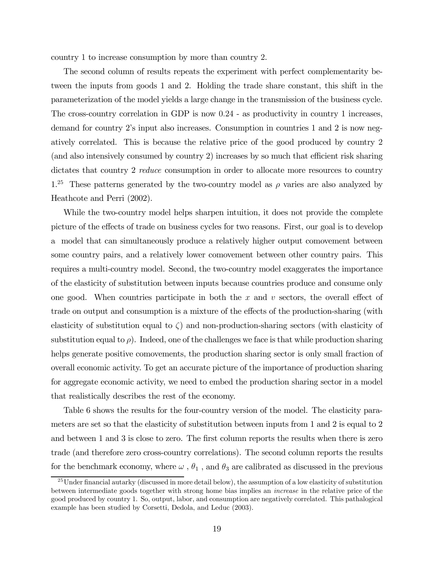country 1 to increase consumption by more than country 2.

The second column of results repeats the experiment with perfect complementarity between the inputs from goods 1 and 2. Holding the trade share constant, this shift in the parameterization of the model yields a large change in the transmission of the business cycle. The cross-country correlation in GDP is now 0.24 - as productivity in country 1 increases, demand for country 2's input also increases. Consumption in countries 1 and 2 is now negatively correlated. This is because the relative price of the good produced by country 2 (and also intensively consumed by country 2) increases by so much that efficient risk sharing dictates that country 2 reduce consumption in order to allocate more resources to country 1.<sup>25</sup> These patterns generated by the two-country model as  $\rho$  varies are also analyzed by Heathcote and Perri (2002).

While the two-country model helps sharpen intuition, it does not provide the complete picture of the effects of trade on business cycles for two reasons. First, our goal is to develop a model that can simultaneously produce a relatively higher output comovement between some country pairs, and a relatively lower comovement between other country pairs. This requires a multi-country model. Second, the two-country model exaggerates the importance of the elasticity of substitution between inputs because countries produce and consume only one good. When countries participate in both the  $x$  and  $v$  sectors, the overall effect of trade on output and consumption is a mixture of the effects of the production-sharing (with elasticity of substitution equal to  $\zeta$ ) and non-production-sharing sectors (with elasticity of substitution equal to  $\rho$ ). Indeed, one of the challenges we face is that while production sharing helps generate positive comovements, the production sharing sector is only small fraction of overall economic activity. To get an accurate picture of the importance of production sharing for aggregate economic activity, we need to embed the production sharing sector in a model that realistically describes the rest of the economy.

Table 6 shows the results for the four-country version of the model. The elasticity parameters are set so that the elasticity of substitution between inputs from 1 and 2 is equal to 2 and between 1 and 3 is close to zero. The first column reports the results when there is zero trade (and therefore zero cross-country correlations). The second column reports the results for the benchmark economy, where  $\omega$ ,  $\theta_1$ , and  $\theta_3$  are calibrated as discussed in the previous

<sup>&</sup>lt;sup>25</sup>Under financial autarky (discussed in more detail below), the assumption of a low elasticity of substitution between intermediate goods together with strong home bias implies an increase in the relative price of the good produced by country 1. So, output, labor, and consumption are negatively correlated. This pathalogical example has been studied by Corsetti, Dedola, and Leduc (2003).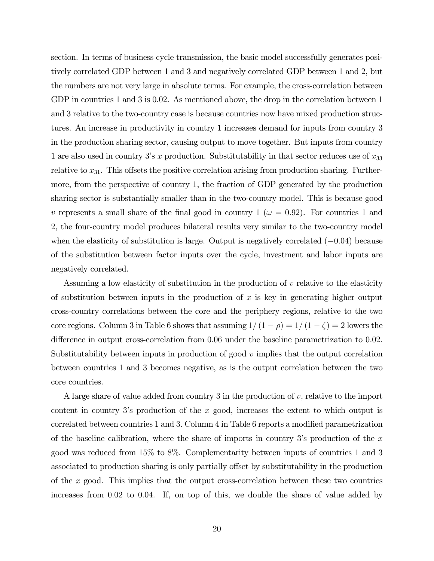section. In terms of business cycle transmission, the basic model successfully generates positively correlated GDP between 1 and 3 and negatively correlated GDP between 1 and 2, but the numbers are not very large in absolute terms. For example, the cross-correlation between GDP in countries 1 and 3 is 0.02. As mentioned above, the drop in the correlation between 1 and 3 relative to the two-country case is because countries now have mixed production structures. An increase in productivity in country 1 increases demand for inputs from country 3 in the production sharing sector, causing output to move together. But inputs from country 1 are also used in country 3's x production. Substitutability in that sector reduces use of  $x_{33}$ relative to  $x_{31}$ . This offsets the positive correlation arising from production sharing. Furthermore, from the perspective of country 1, the fraction of GDP generated by the production sharing sector is substantially smaller than in the two-country model. This is because good v represents a small share of the final good in country 1 ( $\omega = 0.92$ ). For countries 1 and 2, the four-country model produces bilateral results very similar to the two-country model when the elasticity of substitution is large. Output is negatively correlated (−0.04) because of the substitution between factor inputs over the cycle, investment and labor inputs are negatively correlated.

Assuming a low elasticity of substitution in the production of v relative to the elasticity of substitution between inputs in the production of  $x$  is key in generating higher output cross-country correlations between the core and the periphery regions, relative to the two core regions. Column 3 in Table 6 shows that assuming  $1/(1 - \rho) = 1/(1 - \zeta) = 2$  lowers the difference in output cross-correlation from 0.06 under the baseline parametrization to 0.02. Substitutability between inputs in production of good  $v$  implies that the output correlation between countries 1 and 3 becomes negative, as is the output correlation between the two core countries.

A large share of value added from country 3 in the production of v, relative to the import content in country 3's production of the  $x$  good, increases the extent to which output is correlated between countries 1 and 3. Column 4 in Table 6 reports a modified parametrization of the baseline calibration, where the share of imports in country 3's production of the  $x$ good was reduced from 15% to 8%. Complementarity between inputs of countries 1 and 3 associated to production sharing is only partially offset by substitutability in the production of the  $x$  good. This implies that the output cross-correlation between these two countries increases from 0.02 to 0.04. If, on top of this, we double the share of value added by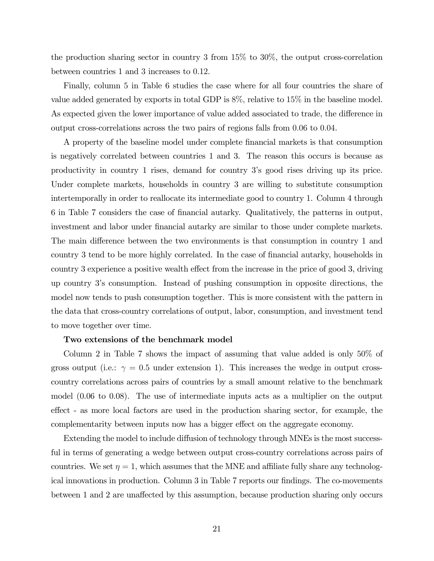the production sharing sector in country 3 from 15% to 30%, the output cross-correlation between countries 1 and 3 increases to 0.12.

Finally, column 5 in Table 6 studies the case where for all four countries the share of value added generated by exports in total GDP is 8%, relative to 15% in the baseline model. As expected given the lower importance of value added associated to trade, the difference in output cross-correlations across the two pairs of regions falls from 0.06 to 0.04.

A property of the baseline model under complete financial markets is that consumption is negatively correlated between countries 1 and 3. The reason this occurs is because as productivity in country 1 rises, demand for country 3's good rises driving up its price. Under complete markets, households in country 3 are willing to substitute consumption intertemporally in order to reallocate its intermediate good to country 1. Column 4 through 6 in Table 7 considers the case of financial autarky. Qualitatively, the patterns in output, investment and labor under financial autarky are similar to those under complete markets. The main difference between the two environments is that consumption in country 1 and country 3 tend to be more highly correlated. In the case of financial autarky, households in country 3 experience a positive wealth effect from the increase in the price of good 3, driving up country 3's consumption. Instead of pushing consumption in opposite directions, the model now tends to push consumption together. This is more consistent with the pattern in the data that cross-country correlations of output, labor, consumption, and investment tend to move together over time.

#### Two extensions of the benchmark model

Column 2 in Table 7 shows the impact of assuming that value added is only 50% of gross output (i.e.:  $\gamma = 0.5$  under extension 1). This increases the wedge in output crosscountry correlations across pairs of countries by a small amount relative to the benchmark model (0.06 to 0.08). The use of intermediate inputs acts as a multiplier on the output effect - as more local factors are used in the production sharing sector, for example, the complementarity between inputs now has a bigger effect on the aggregate economy.

Extending the model to include diffusion of technology through MNEs is the most successful in terms of generating a wedge between output cross-country correlations across pairs of countries. We set  $\eta = 1$ , which assumes that the MNE and affiliate fully share any technological innovations in production. Column 3 in Table 7 reports our findings. The co-movements between 1 and 2 are unaffected by this assumption, because production sharing only occurs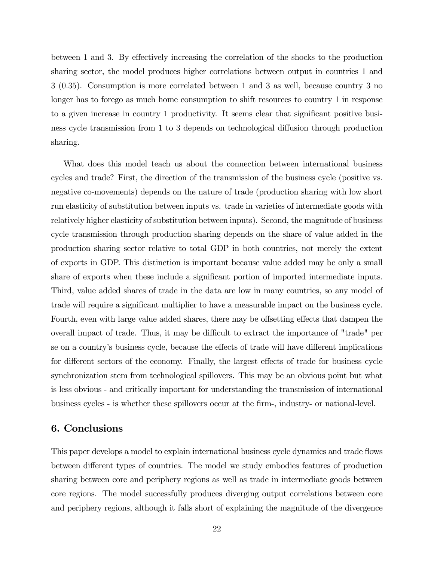between 1 and 3. By effectively increasing the correlation of the shocks to the production sharing sector, the model produces higher correlations between output in countries 1 and 3 (0.35). Consumption is more correlated between 1 and 3 as well, because country 3 no longer has to forego as much home consumption to shift resources to country 1 in response to a given increase in country 1 productivity. It seems clear that significant positive business cycle transmission from 1 to 3 depends on technological diffusion through production sharing.

What does this model teach us about the connection between international business cycles and trade? First, the direction of the transmission of the business cycle (positive vs. negative co-movements) depends on the nature of trade (production sharing with low short run elasticity of substitution between inputs vs. trade in varieties of intermediate goods with relatively higher elasticity of substitution between inputs). Second, the magnitude of business cycle transmission through production sharing depends on the share of value added in the production sharing sector relative to total GDP in both countries, not merely the extent of exports in GDP. This distinction is important because value added may be only a small share of exports when these include a significant portion of imported intermediate inputs. Third, value added shares of trade in the data are low in many countries, so any model of trade will require a significant multiplier to have a measurable impact on the business cycle. Fourth, even with large value added shares, there may be offsetting effects that dampen the overall impact of trade. Thus, it may be difficult to extract the importance of "trade" per se on a country's business cycle, because the effects of trade will have different implications for different sectors of the economy. Finally, the largest effects of trade for business cycle synchronization stem from technological spillovers. This may be an obvious point but what is less obvious - and critically important for understanding the transmission of international business cycles - is whether these spillovers occur at the firm-, industry- or national-level.

## 6. Conclusions

This paper develops a model to explain international business cycle dynamics and trade flows between different types of countries. The model we study embodies features of production sharing between core and periphery regions as well as trade in intermediate goods between core regions. The model successfully produces diverging output correlations between core and periphery regions, although it falls short of explaining the magnitude of the divergence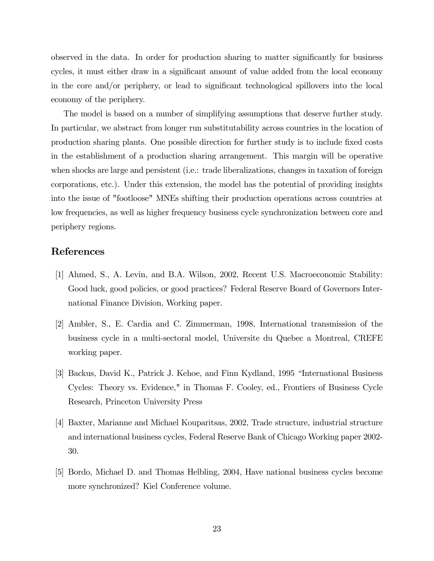observed in the data. In order for production sharing to matter significantly for business cycles, it must either draw in a significant amount of value added from the local economy in the core and/or periphery, or lead to significant technological spillovers into the local economy of the periphery.

The model is based on a number of simplifying assumptions that deserve further study. In particular, we abstract from longer run substitutability across countries in the location of production sharing plants. One possible direction for further study is to include fixed costs in the establishment of a production sharing arrangement. This margin will be operative when shocks are large and persistent (i.e.: trade liberalizations, changes in taxation of foreign corporations, etc.). Under this extension, the model has the potential of providing insights into the issue of "footloose" MNEs shifting their production operations across countries at low frequencies, as well as higher frequency business cycle synchronization between core and periphery regions.

## References

- [1] Ahmed, S., A. Levin, and B.A. Wilson, 2002, Recent U.S. Macroeconomic Stability: Good luck, good policies, or good practices? Federal Reserve Board of Governors International Finance Division, Working paper.
- [2] Ambler, S., E. Cardia and C. Zimmerman, 1998, International transmission of the business cycle in a multi-sectoral model, Universite du Quebec a Montreal, CREFE working paper.
- [3] Backus, David K., Patrick J. Kehoe, and Finn Kydland, 1995 "International Business Cycles: Theory vs. Evidence," in Thomas F. Cooley, ed., Frontiers of Business Cycle Research, Princeton University Press
- [4] Baxter, Marianne and Michael Kouparitsas, 2002, Trade structure, industrial structure and international business cycles, Federal Reserve Bank of Chicago Working paper 2002- 30.
- [5] Bordo, Michael D. and Thomas Helbling, 2004, Have national business cycles become more synchronized? Kiel Conference volume.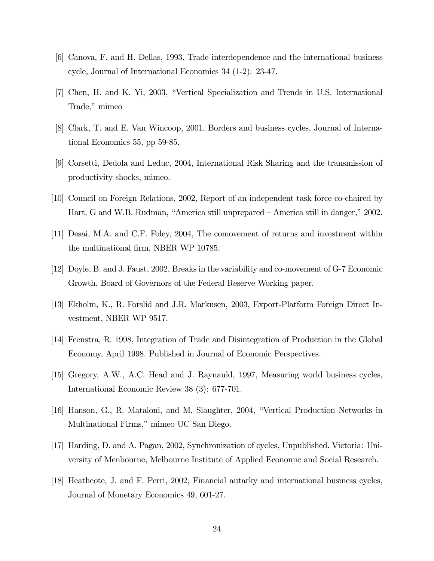- [6] Canova, F. and H. Dellas, 1993, Trade interdependence and the international business cycle, Journal of International Economics 34 (1-2): 23-47.
- [7] Chen, H. and K. Yi, 2003, "Vertical Specialization and Trends in U.S. International Trade," mimeo
- [8] Clark, T. and E. Van Wincoop, 2001, Borders and business cycles, Journal of International Economics 55, pp 59-85.
- [9] Corsetti, Dedola and Leduc, 2004, International Risk Sharing and the transmission of productivity shocks, mimeo.
- [10] Council on Foreign Relations, 2002, Report of an independent task force co-chaired by Hart, G and W.B. Rudman, "America still unprepared — America still in danger," 2002.
- [11] Desai, M.A. and C.F. Foley, 2004, The comovement of returns and investment within the multinational firm, NBER WP 10785.
- [12] Doyle, B. and J. Faust, 2002, Breaks in the variability and co-movement of G-7 Economic Growth, Board of Governors of the Federal Reserve Working paper.
- [13] Ekholm, K., R. Forslid and J.R. Markusen, 2003, Export-Platform Foreign Direct Investment, NBER WP 9517.
- [14] Feenstra, R. 1998, Integration of Trade and Disintegration of Production in the Global Economy, April 1998. Published in Journal of Economic Perspectives.
- [15] Gregory, A.W., A.C. Head and J. Raynauld, 1997, Measuring world business cycles, International Economic Review 38 (3): 677-701.
- [16] Hanson, G., R. Mataloni, and M. Slaughter, 2004, "Vertical Production Networks in Multinational Firms," mimeo UC San Diego.
- [17] Harding, D. and A. Pagan, 2002, Synchronization of cycles, Unpublished. Victoria: University of Menbourne, Melbourne Institute of Applied Economic and Social Research.
- [18] Heathcote, J. and F. Perri, 2002, Financial autarky and international business cycles, Journal of Monetary Economics 49, 601-27.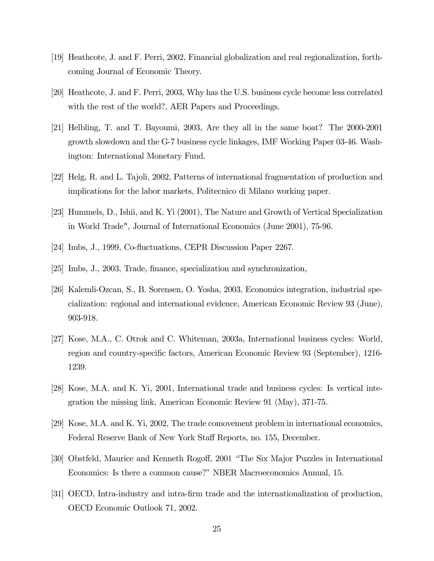- [19] Heathcote, J. and F. Perri, 2002, Financial globalization and real regionalization, forthcoming Journal of Economic Theory.
- [20] Heathcote, J. and F. Perri, 2003, Why has the U.S. business cycle become less correlated with the rest of the world?, AER Papers and Proceedings.
- [21] Helbling, T. and T. Bayoumi, 2003, Are they all in the same boat? The 2000-2001 growth slowdown and the G-7 business cycle linkages, IMF Working Paper 03-46. Washington: International Monetary Fund.
- [22] Helg, R. and L. Tajoli, 2002, Patterns of international fragmentation of production and implications for the labor markets, Politecnico di Milano working paper.
- [23] Hummels, D., Ishii, and K. Yi (2001), The Nature and Growth of Vertical Specialization in World Trade", Journal of International Economics (June 2001), 75-96.
- [24] Imbs, J., 1999, Co-fluctuations, CEPR Discussion Paper 2267.
- [25] Imbs, J., 2003, Trade, finance, specialization and synchronization,
- [26] Kalemli-Ozcan, S., B. Sorensen, O. Yosha, 2003, Economics integration, industrial specialization: regional and international evidence, American Economic Review 93 (June), 903-918.
- [27] Kose, M.A., C. Otrok and C. Whiteman, 2003a, International business cycles: World, region and country-specific factors, American Economic Review 93 (September), 1216- 1239.
- [28] Kose, M.A. and K. Yi, 2001, International trade and business cycles: Is vertical integration the missing link, American Economic Review 91 (May), 371-75.
- [29] Kose, M.A. and K. Yi, 2002, The trade comovement problem in international economics, Federal Reserve Bank of New York Staff Reports, no. 155, December.
- [30] Obstfeld, Maurice and Kenneth Rogoff, 2001 "The Six Major Puzzles in International Economics: Is there a common cause?" NBER Macroeconomics Annual, 15.
- [31] OECD, Intra-industry and intra-firm trade and the internationalization of production, OECD Economic Outlook 71, 2002.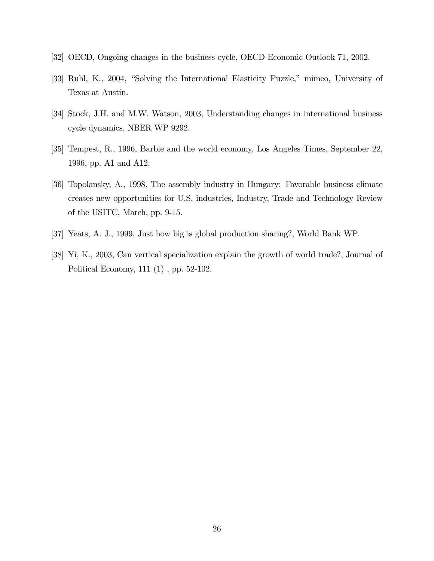- [32] OECD, Ongoing changes in the business cycle, OECD Economic Outlook 71, 2002.
- [33] Ruhl, K., 2004, "Solving the International Elasticity Puzzle," mimeo, University of Texas at Austin.
- [34] Stock, J.H. and M.W. Watson, 2003, Understanding changes in international business cycle dynamics, NBER WP 9292.
- [35] Tempest, R., 1996, Barbie and the world economy, Los Angeles Times, September 22, 1996, pp. A1 and A12.
- [36] Topolansky, A., 1998, The assembly industry in Hungary: Favorable business climate creates new opportunities for U.S. industries, Industry, Trade and Technology Review of the USITC, March, pp. 9-15.
- [37] Yeats, A. J., 1999, Just how big is global production sharing?, World Bank WP.
- [38] Yi, K., 2003, Can vertical specialization explain the growth of world trade?, Journal of Political Economy, 111 (1) , pp. 52-102.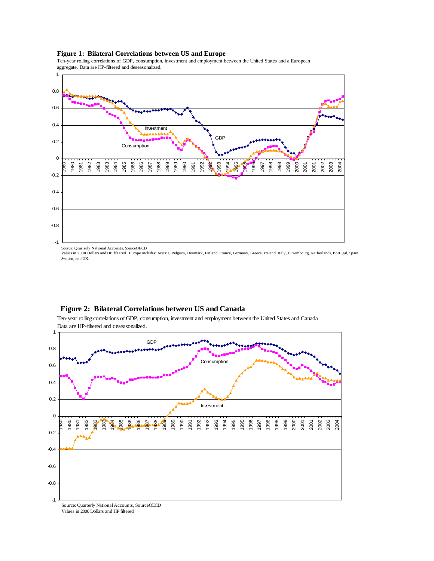

#### **Figure 1: Bilateral Correlations between US and Europe**

Ten-year rolling correlations of GDP, consumption, investment and employment between the United States and a European aggregate. Data are HP-filtered and deseasonalized.

Source: Quarterly National Accounts, SourceOECD<br>Values in 2000 Dollars and HP filtered. Europe includes: Austria, Belgium, Denmark, Finland, France, Germany, Greece, Ireland, Italy, Luxembourg, Netherlands, Portugal, Spai Sweden, and UK.



#### **Figure 2: Bilateral Correlations between US and Canada**

Ten-year rolling correlations of GDP, consumption, investment and employment between the United States and Canada Data are HP-filtered and deseasonalized.

Values in 2000 Dollars and HP filtered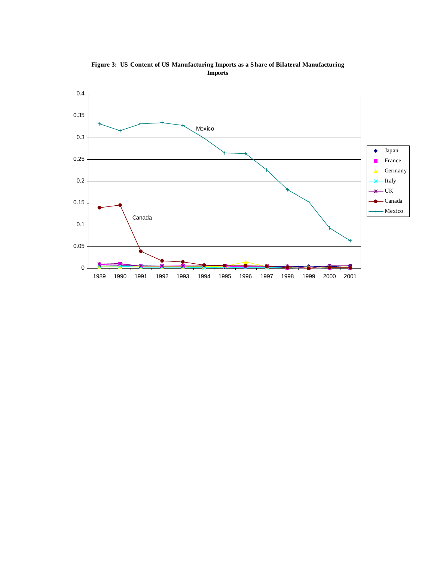

**Figure 3: US Content of US Manufacturing Imports as a Share of Bilateral Manufacturing Imports**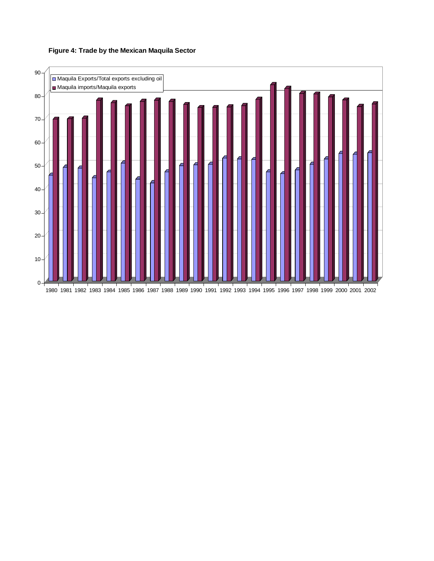

## **Figure 4: Trade by the Mexican Maquila Sector**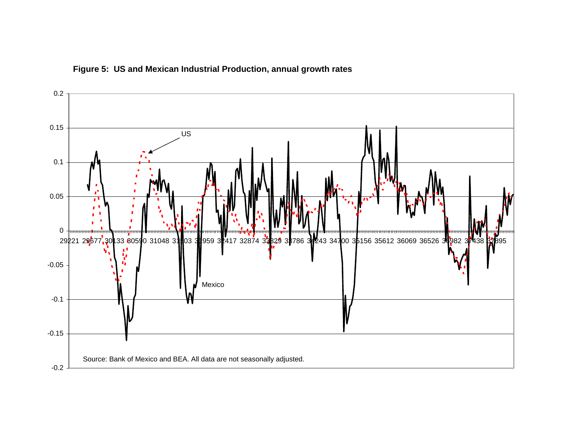

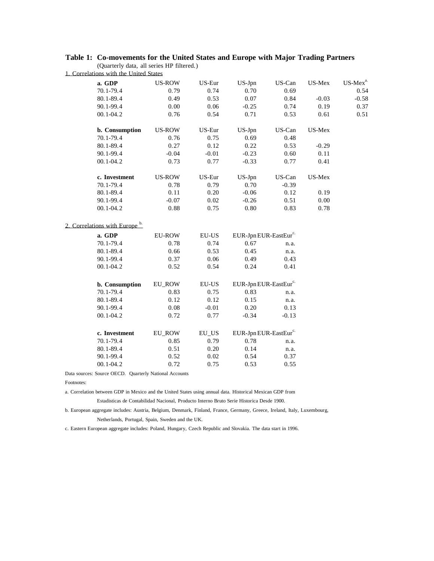### **Table 1: Co-movements for the United States and Europe with Major Trading Partners**

(Quarterly data, all series HP filtered.) 1. Correlations with the United States

| a. GDP                                 | <b>US-ROW</b> | US-Eur                        | US-Jpn                            | US-Can  | US-Mex  | $\ensuremath{\mathbf{US}\text{-}\mathbf{Mex}\!}^{\text{a.}}$ |
|----------------------------------------|---------------|-------------------------------|-----------------------------------|---------|---------|--------------------------------------------------------------|
| 70.1-79.4                              | 0.79          | 0.74                          | 0.70                              | 0.69    |         | 0.54                                                         |
| 80.1-89.4                              | 0.49          | 0.53                          | 0.07                              | 0.84    | $-0.03$ | $-0.58$                                                      |
| 90.1-99.4                              | 0.00          | 0.06                          | $-0.25$                           | 0.74    | 0.19    | 0.37                                                         |
| $00.1 - 04.2$                          | 0.76          | 0.54                          | 0.71                              | 0.53    | 0.61    | 0.51                                                         |
| b. Consumption                         | <b>US-ROW</b> | US-Eur                        | US-Jpn                            | US-Can  | US-Mex  |                                                              |
| 70.1-79.4                              | 0.76          | 0.75                          | 0.69                              | 0.48    |         |                                                              |
| 80.1-89.4                              | 0.27          | 0.12                          | 0.22                              | 0.53    | $-0.29$ |                                                              |
| 90.1-99.4                              | $-0.04$       | $-0.01$                       | $-0.23$                           | 0.60    | 0.11    |                                                              |
| $00.1 - 04.2$                          | 0.73          | 0.77                          | $-0.33$                           | 0.77    | 0.41    |                                                              |
| c. Investment                          | <b>US-ROW</b> | US-Eur                        | US-Jpn                            | US-Can  | US-Mex  |                                                              |
| 70.1-79.4                              | 0.78          | 0.79                          | 0.70                              | $-0.39$ |         |                                                              |
| 80.1-89.4                              | 0.11          | $0.20\,$                      | $-0.06$                           | 0.12    | 0.19    |                                                              |
| 90.1-99.4                              | $-0.07$       | 0.02                          | $-0.26$                           | 0.51    | 0.00    |                                                              |
| $00.1 - 04.2$                          | 0.88          | 0.75                          | 0.80                              | 0.83    | 0.78    |                                                              |
| Correlations with Europe <sup>b.</sup> |               |                               |                                   |         |         |                                                              |
| a. GDP                                 | <b>EU-ROW</b> | <b>EU-US</b>                  | EUR-Jpn EUR-EastEur <sup>c.</sup> |         |         |                                                              |
| 70.1-79.4                              | 0.78          | 0.74                          | 0.67                              | n.a.    |         |                                                              |
| 80.1-89.4                              | 0.66          | 0.53                          | 0.45                              | n.a.    |         |                                                              |
| 90.1-99.4                              | 0.37          | 0.06                          | 0.49                              | 0.43    |         |                                                              |
| $00.1 - 04.2$                          | 0.52          | 0.54                          | 0.24                              | 0.41    |         |                                                              |
| b. Consumption                         | EU_ROW        | $\mathop{\rm EU-US}\nolimits$ | EUR-Jpn EUR-EastEur <sup>c.</sup> |         |         |                                                              |
| 70.1-79.4                              | 0.83          | 0.75                          | 0.83                              | n.a.    |         |                                                              |
| 80.1-89.4                              | $0.12\,$      | 0.12                          | 0.15                              | n.a.    |         |                                                              |
| 90.1-99.4                              | 0.08          | $-0.01$                       | 0.20                              | 0.13    |         |                                                              |
| $00.1 - 04.2$                          | 0.72          | 0.77                          | $-0.34$                           | $-0.13$ |         |                                                              |
| c. Investment                          | <b>EU_ROW</b> | EU_US                         | EUR-Jpn EUR-EastEur <sup>c.</sup> |         |         |                                                              |
| 70.1-79.4                              | 0.85          | 0.79                          | 0.78                              | n.a.    |         |                                                              |
| 80.1-89.4                              | 0.51          | 0.20                          | 0.14                              | n.a.    |         |                                                              |
| 90.1-99.4                              | 0.52          | 0.02                          | 0.54                              | 0.37    |         |                                                              |
| $00.1 - 04.2$                          | 0.72          | 0.75                          | 0.53                              | 0.55    |         |                                                              |
|                                        |               |                               |                                   |         |         |                                                              |

Data sources: Source OECD. Quarterly National Accounts

Footnotes:

a. Correlation between GDP in Mexico and the United States using annual data. Historical Mexican GDP from

Estadisticas de Contabilidad Nacional, Producto Interno Bruto Serie Historica Desde 1900.

b. European aggregate includes: Austria, Belgium, Denmark, Finland, France, Germany, Greece, Ireland, Italy, Luxembourg, Netherlands, Portugal, Spain, Sweden and the UK.

c. Eastern European aggregate includes: Poland, Hungary, Czech Republic and Slovakia. The data start in 1996.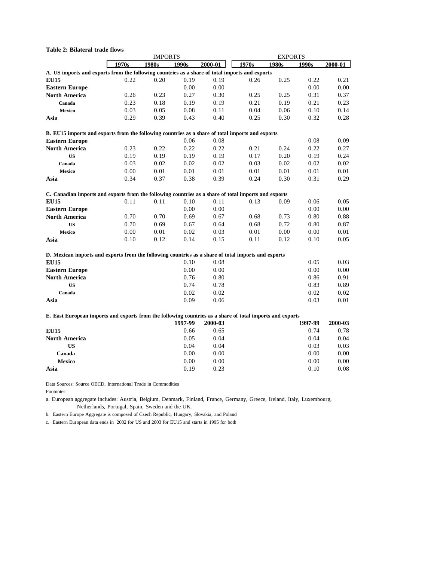| <b>Table 2: Bilateral trade flows</b>                                                                     |       |                |         |         |       |                |         |         |  |
|-----------------------------------------------------------------------------------------------------------|-------|----------------|---------|---------|-------|----------------|---------|---------|--|
|                                                                                                           |       | <b>IMPORTS</b> |         |         |       | <b>EXPORTS</b> |         |         |  |
|                                                                                                           | 1970s | 1980s          | 1990s   | 2000-01 | 1970s | 1980s          | 1990s   | 2000-01 |  |
| A. US imports and exports from the following countries as a share of total imports and exports            |       |                |         |         |       |                |         |         |  |
| <b>EU15</b>                                                                                               | 0.22  | 0.20           | 0.19    | 0.19    | 0.26  | 0.25           | 0.22    | 0.21    |  |
| <b>Eastern Europe</b>                                                                                     |       |                | 0.00    | 0.00    |       |                | 0.00    | 0.00    |  |
| <b>North America</b>                                                                                      | 0.26  | 0.23           | 0.27    | 0.30    | 0.25  | 0.25           | 0.31    | 0.37    |  |
| Canada                                                                                                    | 0.23  | 0.18           | 0.19    | 0.19    | 0.21  | 0.19           | 0.21    | 0.23    |  |
| Mexico                                                                                                    | 0.03  | 0.05           | 0.08    | 0.11    | 0.04  | 0.06           | 0.10    | 0.14    |  |
| Asia                                                                                                      | 0.29  | 0.39           | 0.43    | 0.40    | 0.25  | 0.30           | 0.32    | 0.28    |  |
| B. EU15 imports and exports from the following countries as a share of total imports and exports          |       |                |         |         |       |                |         |         |  |
| <b>Eastern Europe</b>                                                                                     |       |                | 0.06    | 0.08    |       |                | 0.08    | 0.09    |  |
| <b>North America</b>                                                                                      | 0.23  | 0.22           | 0.22    | 0.22    | 0.21  | 0.24           | 0.22    | 0.27    |  |
| <b>US</b>                                                                                                 | 0.19  | 0.19           | 0.19    | 0.19    | 0.17  | 0.20           | 0.19    | 0.24    |  |
| Canada                                                                                                    | 0.03  | 0.02           | 0.02    | 0.02    | 0.03  | 0.02           | 0.02    | 0.02    |  |
| Mexico                                                                                                    | 0.00  | 0.01           | 0.01    | 0.01    | 0.01  | 0.01           | 0.01    | 0.01    |  |
| Asia                                                                                                      | 0.34  | 0.37           | 0.38    | 0.39    | 0.24  | 0.30           | 0.31    | 0.29    |  |
| C. Canadian imports and exports from the following countries as a share of total imports and exports      |       |                |         |         |       |                |         |         |  |
| <b>EU15</b>                                                                                               | 0.11  | 0.11           | 0.10    | 0.11    | 0.13  | 0.09           | 0.06    | 0.05    |  |
| <b>Eastern Europe</b>                                                                                     |       |                | 0.00    | 0.00    |       |                | 0.00    | 0.00    |  |
| <b>North America</b>                                                                                      | 0.70  | 0.70           | 0.69    | 0.67    | 0.68  | 0.73           | 0.80    | 0.88    |  |
| <b>US</b>                                                                                                 | 0.70  | 0.69           | 0.67    | 0.64    | 0.68  | 0.72           | 0.80    | 0.87    |  |
| Mexico                                                                                                    | 0.00  | 0.01           | 0.02    | 0.03    | 0.01  | 0.00           | 0.00    | 0.01    |  |
| Asia                                                                                                      | 0.10  | 0.12           | 0.14    | 0.15    | 0.11  | 0.12           | 0.10    | 0.05    |  |
| D. Mexican imports and exports from the following countries as a share of total imports and exports       |       |                |         |         |       |                |         |         |  |
| <b>EU15</b>                                                                                               |       |                | 0.10    | 0.08    |       |                | 0.05    | 0.03    |  |
| <b>Eastern Europe</b>                                                                                     |       |                | 0.00    | 0.00    |       |                | 0.00    | 0.00    |  |
| <b>North America</b>                                                                                      |       |                | 0.76    | 0.80    |       |                | 0.86    | 0.91    |  |
| <b>US</b>                                                                                                 |       |                | 0.74    | 0.78    |       |                | 0.83    | 0.89    |  |
| Canada                                                                                                    |       |                | 0.02    | 0.02    |       |                | 0.02    | 0.02    |  |
| Asia                                                                                                      |       |                | 0.09    | 0.06    |       |                | 0.03    | 0.01    |  |
| E. East European imports and exports from the following countries as a share of total imports and exports |       |                |         |         |       |                |         |         |  |
|                                                                                                           |       |                | 1997-99 | 2000-03 |       |                | 1997-99 | 2000-03 |  |
| <b>EU15</b>                                                                                               |       |                | 0.66    | 0.65    |       |                | 0.74    | 0.78    |  |
| <b>North America</b>                                                                                      |       |                | 0.05    | 0.04    |       |                | 0.04    | 0.04    |  |
| <b>US</b>                                                                                                 |       |                | 0.04    | 0.04    |       |                | 0.03    | 0.03    |  |
| Canada                                                                                                    |       |                | 0.00    | 0.00    |       |                | 0.00    | 0.00    |  |
| <b>Mexico</b>                                                                                             |       |                | 0.00    | 0.00    |       |                | 0.00    | 0.00    |  |
| Asia                                                                                                      |       |                | 0.19    | 0.23    |       |                | 0.10    | 0.08    |  |
|                                                                                                           |       |                |         |         |       |                |         |         |  |

Data Sources: Source OECD, International Trade in Commodities

Footnotes:

a. European aggregate includes: Austria, Belgium, Denmark, Finland, France, Germany, Greece, Ireland, Italy, Luxembourg, Netherlands, Portugal, Spain, Sweden and the UK.

b. Eastern Europe Aggregate is composed of Czech Republic, Hungary, Slovakia, and Poland

c. Eastern European data ends in 2002 for US and 2003 for EU15 and starts in 1995 for both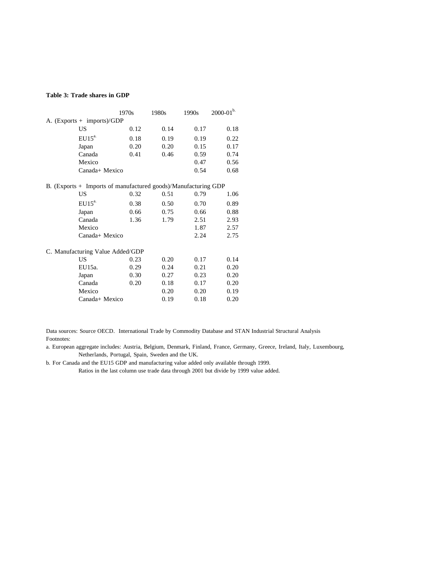#### **Table 3: Trade shares in GDP**

|                                                                | 1970s | 1980s | 1990s | $2000 - 01$ <sup>b.</sup> |
|----------------------------------------------------------------|-------|-------|-------|---------------------------|
| A. $(Express + imports)/GDP$                                   |       |       |       |                           |
| US                                                             | 0.12  | 0.14  | 0.17  | 0.18                      |
| EU15 <sup>a</sup>                                              | 0.18  | 0.19  | 0.19  | 0.22                      |
| Japan                                                          | 0.20  | 0.20  | 0.15  | 0.17                      |
| Canada                                                         | 0.41  | 0.46  | 0.59  | 0.74                      |
| Mexico                                                         |       |       | 0.47  | 0.56                      |
| Canada+ Mexico                                                 |       |       | 0.54  | 0.68                      |
| B. (Exports + Imports of manufactured goods)/Manufacturing GDP |       |       |       |                           |
| <b>US</b>                                                      | 0.32  | 0.51  | 0.79  | 1.06                      |
| $EU15^{a}$                                                     | 0.38  | 0.50  | 0.70  | 0.89                      |
| Japan                                                          | 0.66  | 0.75  | 0.66  | 0.88                      |
| Canada                                                         | 1.36  | 1.79  | 2.51  | 2.93                      |
| Mexico                                                         |       |       | 1.87  | 2.57                      |
| Canada+ Mexico                                                 |       |       | 2.24  | 2.75                      |
| C. Manufacturing Value Added/GDP                               |       |       |       |                           |
| US                                                             | 0.23  | 0.20  | 0.17  | 0.14                      |
| EU15a.                                                         | 0.29  | 0.24  | 0.21  | 0.20                      |
| Japan                                                          | 0.30  | 0.27  | 0.23  | 0.20                      |
| Canada                                                         | 0.20  | 0.18  | 0.17  | 0.20                      |
| Mexico                                                         |       | 0.20  | 0.20  | 0.19                      |
| Canada+ Mexico                                                 |       | 0.19  | 0.18  | 0.20                      |

Data sources: Source OECD. International Trade by Commodity Database and STAN Industrial Structural Analysis Footnotes:

a. European aggregate includes: Austria, Belgium, Denmark, Finland, France, Germany, Greece, Ireland, Italy, Luxembourg, Netherlands, Portugal, Spain, Sweden and the UK.

b. For Canada and the EU15 GDP and manufacturing value added only available through 1999.

Ratios in the last column use trade data through 2001 but divide by 1999 value added.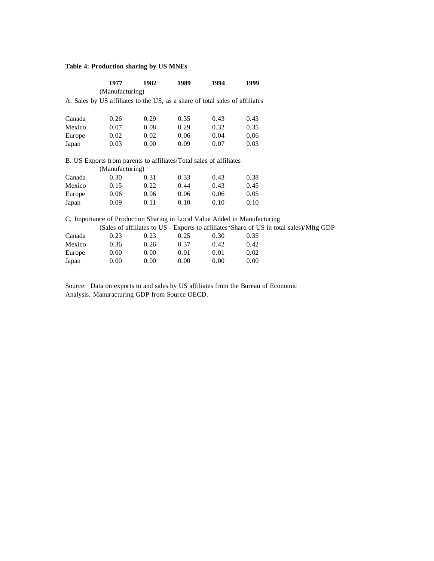### **Table 4: Production sharing by US MNEs**

|                                                                                                                                                                                                                                                                                                                                                                                                                                                                                                                                                                                                                                                                                                                                                                                                                                  | 1977 | 1982 | 1989 | 1994 | 1999 |  |
|----------------------------------------------------------------------------------------------------------------------------------------------------------------------------------------------------------------------------------------------------------------------------------------------------------------------------------------------------------------------------------------------------------------------------------------------------------------------------------------------------------------------------------------------------------------------------------------------------------------------------------------------------------------------------------------------------------------------------------------------------------------------------------------------------------------------------------|------|------|------|------|------|--|
| (Manufacturing)<br>A. Sales by US affiliates to the US, as a share of total sales of affiliates<br>Canada<br>0.26<br>0.29<br>0.35<br>0.43<br>0.43<br>0.08<br>0.29<br>0.32<br>0.35<br>Mexico<br>0.07<br>0.02<br>0.06<br>0.02<br>0.06<br>0.04<br>Europe<br>0.00<br>0.03<br>0.03<br>0.09<br>0.07<br>Japan<br>B. US Exports from parents to affiliates/Total sales of affiliates<br>(Manufacturing)<br>0.30<br>0.43<br>0.38<br>Canada<br>0.31<br>0.33<br>Mexico<br>0.22<br>0.44<br>0.43<br>0.45<br>0.15<br>0.06<br>0.06<br>0.06<br>0.06<br>0.05<br>Europe<br>0.09<br>0.11<br>0.10<br>0.10<br>0.10<br>Japan<br>C. Importance of Production Sharing in Local Value Added in Manufacturing<br>(Sales of affiliates to US - Exports to affiliates*Share of US in total sales)/Mftg GDP<br>Canada<br>0.23<br>0.23<br>0.25<br>0.30<br>0.35 |      |      |      |      |      |  |
|                                                                                                                                                                                                                                                                                                                                                                                                                                                                                                                                                                                                                                                                                                                                                                                                                                  |      |      |      |      |      |  |
|                                                                                                                                                                                                                                                                                                                                                                                                                                                                                                                                                                                                                                                                                                                                                                                                                                  |      |      |      |      |      |  |
|                                                                                                                                                                                                                                                                                                                                                                                                                                                                                                                                                                                                                                                                                                                                                                                                                                  |      |      |      |      |      |  |
|                                                                                                                                                                                                                                                                                                                                                                                                                                                                                                                                                                                                                                                                                                                                                                                                                                  |      |      |      |      |      |  |
|                                                                                                                                                                                                                                                                                                                                                                                                                                                                                                                                                                                                                                                                                                                                                                                                                                  |      |      |      |      |      |  |
|                                                                                                                                                                                                                                                                                                                                                                                                                                                                                                                                                                                                                                                                                                                                                                                                                                  |      |      |      |      |      |  |
|                                                                                                                                                                                                                                                                                                                                                                                                                                                                                                                                                                                                                                                                                                                                                                                                                                  |      |      |      |      |      |  |
|                                                                                                                                                                                                                                                                                                                                                                                                                                                                                                                                                                                                                                                                                                                                                                                                                                  |      |      |      |      |      |  |
|                                                                                                                                                                                                                                                                                                                                                                                                                                                                                                                                                                                                                                                                                                                                                                                                                                  |      |      |      |      |      |  |
|                                                                                                                                                                                                                                                                                                                                                                                                                                                                                                                                                                                                                                                                                                                                                                                                                                  |      |      |      |      |      |  |
|                                                                                                                                                                                                                                                                                                                                                                                                                                                                                                                                                                                                                                                                                                                                                                                                                                  |      |      |      |      |      |  |
|                                                                                                                                                                                                                                                                                                                                                                                                                                                                                                                                                                                                                                                                                                                                                                                                                                  |      |      |      |      |      |  |
|                                                                                                                                                                                                                                                                                                                                                                                                                                                                                                                                                                                                                                                                                                                                                                                                                                  |      |      |      |      |      |  |
|                                                                                                                                                                                                                                                                                                                                                                                                                                                                                                                                                                                                                                                                                                                                                                                                                                  |      |      |      |      |      |  |
|                                                                                                                                                                                                                                                                                                                                                                                                                                                                                                                                                                                                                                                                                                                                                                                                                                  |      |      |      |      |      |  |
|                                                                                                                                                                                                                                                                                                                                                                                                                                                                                                                                                                                                                                                                                                                                                                                                                                  |      |      |      |      |      |  |
|                                                                                                                                                                                                                                                                                                                                                                                                                                                                                                                                                                                                                                                                                                                                                                                                                                  |      |      |      |      |      |  |
| Mexico                                                                                                                                                                                                                                                                                                                                                                                                                                                                                                                                                                                                                                                                                                                                                                                                                           | 0.36 | 0.26 | 0.37 | 0.42 | 0.42 |  |
| Europe                                                                                                                                                                                                                                                                                                                                                                                                                                                                                                                                                                                                                                                                                                                                                                                                                           | 0.00 | 0.00 | 0.01 | 0.01 | 0.02 |  |
| Japan                                                                                                                                                                                                                                                                                                                                                                                                                                                                                                                                                                                                                                                                                                                                                                                                                            | 0.00 | 0.00 | 0.00 | 0.00 | 0.00 |  |

Source: Data on exports to and sales by US affiliates from the Bureau of Economic Analysis. Manuracturing GDP from Source OECD.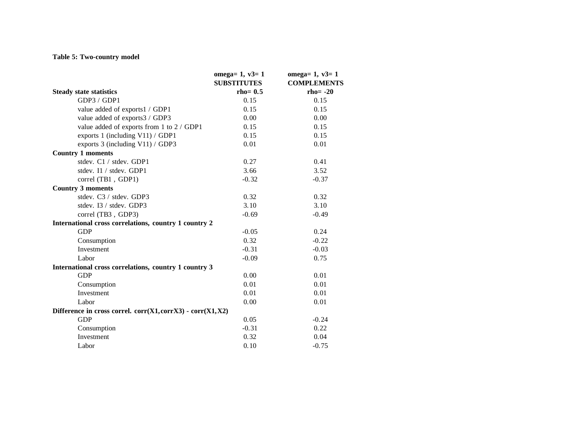## **Table 5: Two-country model**

|                                                             | omega= $1, v3=1$<br><b>SUBSTITUTES</b> | omega= $1, v3=1$<br><b>COMPLEMENTS</b> |
|-------------------------------------------------------------|----------------------------------------|----------------------------------------|
| <b>Steady state statistics</b>                              | $rho = 0.5$                            | $rho = -20$                            |
| GDP3 / GDP1                                                 | 0.15                                   | 0.15                                   |
| value added of exports1 / GDP1                              | 0.15                                   | 0.15                                   |
| value added of exports3 / GDP3                              | 0.00                                   | 0.00                                   |
| value added of exports from 1 to 2 / GDP1                   | 0.15                                   | 0.15                                   |
| exports 1 (including V11) / GDP1                            | 0.15                                   | 0.15                                   |
| exports 3 (including V11) / GDP3                            | 0.01                                   | 0.01                                   |
| <b>Country 1 moments</b>                                    |                                        |                                        |
| stdev. C1 / stdev. GDP1                                     | 0.27                                   | 0.41                                   |
| stdev. I1 / stdev. GDP1                                     | 3.66                                   | 3.52                                   |
| correl (TB1, GDP1)                                          | $-0.32$                                | $-0.37$                                |
| <b>Country 3 moments</b>                                    |                                        |                                        |
| stdev. C3 / stdev. GDP3                                     | 0.32                                   | 0.32                                   |
| stdev. I3 / stdev. GDP3                                     | 3.10                                   | 3.10                                   |
| correl (TB3, GDP3)                                          | $-0.69$                                | $-0.49$                                |
| International cross correlations, country 1 country 2       |                                        |                                        |
| <b>GDP</b>                                                  | $-0.05$                                | 0.24                                   |
| Consumption                                                 | 0.32                                   | $-0.22$                                |
| Investment                                                  | $-0.31$                                | $-0.03$                                |
| Labor                                                       | $-0.09$                                | 0.75                                   |
| International cross correlations, country 1 country 3       |                                        |                                        |
| <b>GDP</b>                                                  | 0.00                                   | 0.01                                   |
| Consumption                                                 | 0.01                                   | 0.01                                   |
| Investment                                                  | 0.01                                   | 0.01                                   |
| Labor                                                       | 0.00                                   | 0.01                                   |
| Difference in cross correl. $corr(X1,corrX3) - corr(X1,X2)$ |                                        |                                        |
| <b>GDP</b>                                                  | 0.05                                   | $-0.24$                                |
| Consumption                                                 | $-0.31$                                | 0.22                                   |
| Investment                                                  | 0.32                                   | 0.04                                   |
| Labor                                                       | 0.10                                   | $-0.75$                                |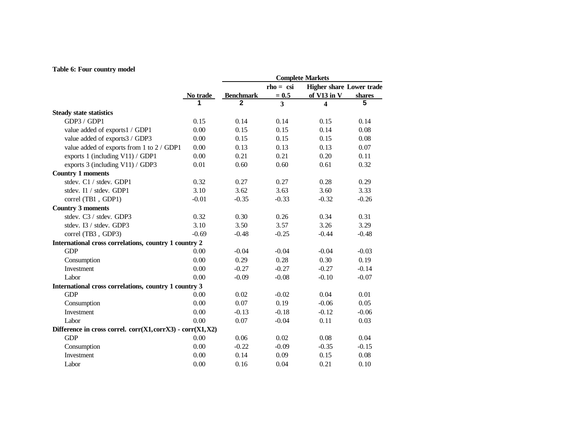## **Table 6: Four country model**

|                                                           |          | <b>Complete Markets</b> |             |                                 |               |  |
|-----------------------------------------------------------|----------|-------------------------|-------------|---------------------------------|---------------|--|
|                                                           |          |                         | $rho = csi$ | <b>Higher share Lower trade</b> |               |  |
|                                                           | No trade | <b>Benchmark</b>        | $= 0.5$     | of $V13$ in $V$                 | <b>shares</b> |  |
|                                                           |          | 2                       | 3           | 4                               | 5             |  |
| <b>Steady state statistics</b>                            |          |                         |             |                                 |               |  |
| GDP3 / GDP1                                               | 0.15     | 0.14                    | 0.14        | 0.15                            | 0.14          |  |
| value added of exports1 / GDP1                            | 0.00     | 0.15                    | 0.15        | 0.14                            | 0.08          |  |
| value added of exports3 / GDP3                            | 0.00     | 0.15                    | 0.15        | 0.15                            | 0.08          |  |
| value added of exports from 1 to 2 / GDP1                 | 0.00     | 0.13                    | 0.13        | 0.13                            | 0.07          |  |
| exports 1 (including V11) / GDP1                          | 0.00     | 0.21                    | 0.21        | 0.20                            | 0.11          |  |
| exports 3 (including V11) / GDP3                          | 0.01     | 0.60                    | 0.60        | 0.61                            | 0.32          |  |
| <b>Country 1 moments</b>                                  |          |                         |             |                                 |               |  |
| stdev. C1 / stdev. GDP1                                   | 0.32     | 0.27                    | 0.27        | 0.28                            | 0.29          |  |
| stdev. I1 / stdev. GDP1                                   | 3.10     | 3.62                    | 3.63        | 3.60                            | 3.33          |  |
| correl (TB1, GDP1)                                        | $-0.01$  | $-0.35$                 | $-0.33$     | $-0.32$                         | $-0.26$       |  |
| <b>Country 3 moments</b>                                  |          |                         |             |                                 |               |  |
| stdev. C3 / stdev. GDP3                                   | 0.32     | 0.30                    | 0.26        | 0.34                            | 0.31          |  |
| stdev. I3 / stdev. GDP3                                   | 3.10     | 3.50                    | 3.57        | 3.26                            | 3.29          |  |
| correl (TB3, GDP3)                                        | $-0.69$  | $-0.48$                 | $-0.25$     | $-0.44$                         | $-0.48$       |  |
| International cross correlations, country 1 country 2     |          |                         |             |                                 |               |  |
| <b>GDP</b>                                                | 0.00     | $-0.04$                 | $-0.04$     | $-0.04$                         | $-0.03$       |  |
| Consumption                                               | 0.00     | 0.29                    | 0.28        | 0.30                            | 0.19          |  |
| Investment                                                | 0.00     | $-0.27$                 | $-0.27$     | $-0.27$                         | $-0.14$       |  |
| Labor                                                     | 0.00     | $-0.09$                 | $-0.08$     | $-0.10$                         | $-0.07$       |  |
| International cross correlations, country 1 country 3     |          |                         |             |                                 |               |  |
| <b>GDP</b>                                                | 0.00     | 0.02                    | $-0.02$     | 0.04                            | 0.01          |  |
| Consumption                                               | 0.00     | 0.07                    | 0.19        | $-0.06$                         | 0.05          |  |
| Investment                                                | 0.00     | $-0.13$                 | $-0.18$     | $-0.12$                         | $-0.06$       |  |
| Labor                                                     | 0.00     | 0.07                    | $-0.04$     | 0.11                            | 0.03          |  |
| Difference in cross correl. corr(X1,corrX3) - corr(X1,X2) |          |                         |             |                                 |               |  |
| <b>GDP</b>                                                | 0.00     | 0.06                    | 0.02        | 0.08                            | 0.04          |  |
| Consumption                                               | 0.00     | $-0.22$                 | $-0.09$     | $-0.35$                         | $-0.15$       |  |
| Investment                                                | 0.00     | 0.14                    | 0.09        | 0.15                            | 0.08          |  |
| Labor                                                     | 0.00     | 0.16                    | 0.04        | 0.21                            | 0.10          |  |